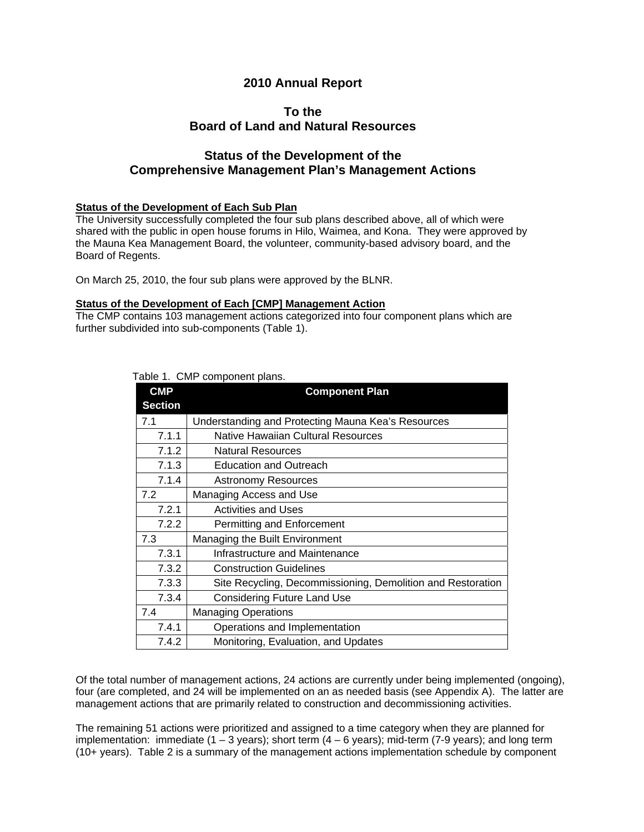### **2010 Annual Report**

### **To the Board of Land and Natural Resources**

### **Status of the Development of the Comprehensive Management Plan's Management Actions**

#### **Status of the Development of Each Sub Plan**

The University successfully completed the four sub plans described above, all of which were shared with the public in open house forums in Hilo, Waimea, and Kona. They were approved by the Mauna Kea Management Board, the volunteer, community-based advisory board, and the Board of Regents.

On March 25, 2010, the four sub plans were approved by the BLNR.

#### **Status of the Development of Each [CMP] Management Action**

The CMP contains 103 management actions categorized into four component plans which are further subdivided into sub-components (Table 1).

| <b>CMP</b><br><b>Section</b> | <b>Component Plan</b>                                       |
|------------------------------|-------------------------------------------------------------|
| 7.1                          | Understanding and Protecting Mauna Kea's Resources          |
| 7.1.1                        | <b>Native Hawaiian Cultural Resources</b>                   |
| 7.1.2                        | <b>Natural Resources</b>                                    |
| 7.1.3                        | <b>Education and Outreach</b>                               |
| 7.1.4                        | <b>Astronomy Resources</b>                                  |
| 7.2                          | Managing Access and Use                                     |
| 7.2.1                        | <b>Activities and Uses</b>                                  |
| 7.2.2                        | Permitting and Enforcement                                  |
| 7.3                          | Managing the Built Environment                              |
| 7.3.1                        | Infrastructure and Maintenance                              |
| 7.3.2                        | <b>Construction Guidelines</b>                              |
| 7.3.3                        | Site Recycling, Decommissioning, Demolition and Restoration |
| 7.3.4                        | <b>Considering Future Land Use</b>                          |
| 7.4                          | <b>Managing Operations</b>                                  |
| 7.4.1                        | Operations and Implementation                               |
| 7.4.2                        | Monitoring, Evaluation, and Updates                         |

Table 1. CMP component plans.

Of the total number of management actions, 24 actions are currently under being implemented (ongoing), four (are completed, and 24 will be implemented on an as needed basis (see Appendix A). The latter are management actions that are primarily related to construction and decommissioning activities.

The remaining 51 actions were prioritized and assigned to a time category when they are planned for implementation: immediate  $(1 - 3 \text{ years})$ ; short term  $(4 - 6 \text{ years})$ ; mid-term  $(7-9 \text{ years})$ ; and long term (10+ years). Table 2 is a summary of the management actions implementation schedule by component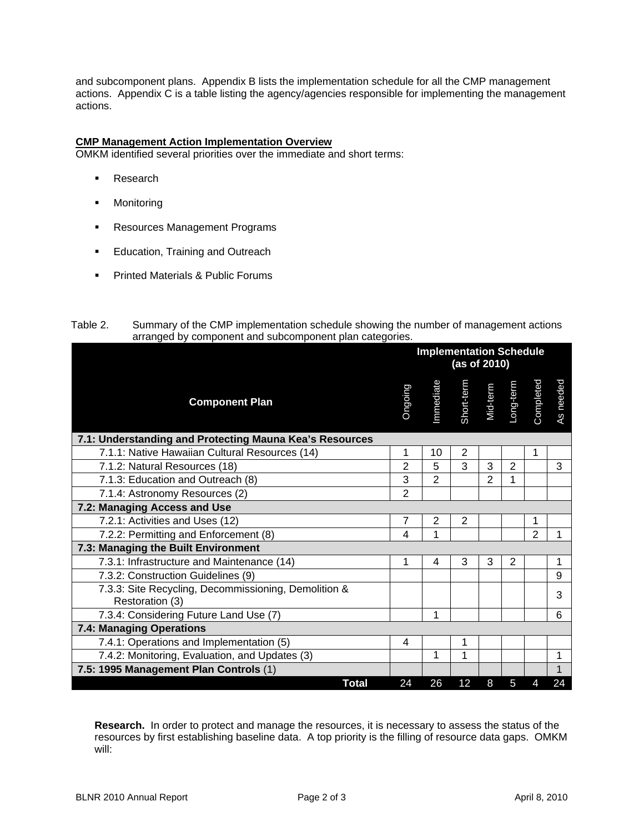and subcomponent plans. Appendix B lists the implementation schedule for all the CMP management actions. Appendix C is a table listing the agency/agencies responsible for implementing the management actions.

### **CMP Management Action Implementation Overview**

OMKM identified several priorities over the immediate and short terms:

- **Research**
- **•** Monitoring
- **Resources Management Programs**
- **Education, Training and Outreach**
- **Printed Materials & Public Forums**

| Table 2. | Summary of the CMP implementation schedule showing the number of management actions |
|----------|-------------------------------------------------------------------------------------|
|          | arranged by component and subcomponent plan categories.                             |

|                                                                         | <b>Implementation Schedule</b><br>(as of 2010) |                |                                                  |   |                |                |           |
|-------------------------------------------------------------------------|------------------------------------------------|----------------|--------------------------------------------------|---|----------------|----------------|-----------|
| <b>Component Plan</b>                                                   | Ongoing                                        | Immediate      | Short-term<br>Mid-term<br>Long-term<br>Completed |   |                |                | As needed |
| 7.1: Understanding and Protecting Mauna Kea's Resources                 |                                                |                |                                                  |   |                |                |           |
| 7.1.1: Native Hawaiian Cultural Resources (14)                          | 1                                              | 10             | 2                                                |   |                | 1              |           |
| 7.1.2: Natural Resources (18)                                           | $\overline{2}$                                 | 5              | 3                                                | 3 | $\overline{2}$ |                | 3         |
| 7.1.3: Education and Outreach (8)                                       | 3                                              | $\overline{2}$ |                                                  | 2 | 1              |                |           |
| 7.1.4: Astronomy Resources (2)                                          | $\overline{2}$                                 |                |                                                  |   |                |                |           |
| 7.2: Managing Access and Use                                            |                                                |                |                                                  |   |                |                |           |
| 7.2.1: Activities and Uses (12)                                         | $\overline{7}$                                 | 2              | 2                                                |   |                | 1              |           |
| 7.2.2: Permitting and Enforcement (8)                                   | 4                                              | 1              |                                                  |   |                | $\overline{2}$ |           |
| 7.3: Managing the Built Environment                                     |                                                |                |                                                  |   |                |                |           |
| 7.3.1: Infrastructure and Maintenance (14)                              | 1                                              | 4              | 3                                                | 3 | 2              |                |           |
| 7.3.2: Construction Guidelines (9)                                      |                                                |                |                                                  |   |                |                | 9         |
| 7.3.3: Site Recycling, Decommissioning, Demolition &<br>Restoration (3) |                                                |                |                                                  |   |                |                | 3         |
| 7.3.4: Considering Future Land Use (7)                                  |                                                | 1              |                                                  |   |                |                | 6         |
| 7.4: Managing Operations                                                |                                                |                |                                                  |   |                |                |           |
| 7.4.1: Operations and Implementation (5)                                | 4                                              |                | 1                                                |   |                |                |           |
| 7.4.2: Monitoring, Evaluation, and Updates (3)                          |                                                | 1              | 1                                                |   |                |                | 1         |
| 7.5: 1995 Management Plan Controls (1)                                  |                                                |                |                                                  |   |                |                |           |
| <b>Total</b>                                                            | 24                                             | 26             | 12                                               | 8 | 5              | 4              | 24        |

**Research.** In order to protect and manage the resources, it is necessary to assess the status of the resources by first establishing baseline data. A top priority is the filling of resource data gaps. OMKM will: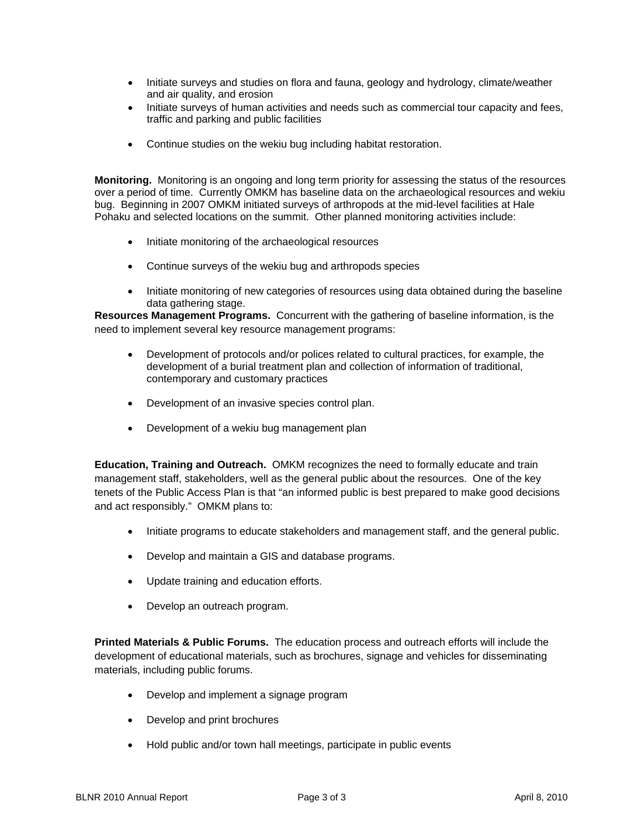- Initiate surveys and studies on flora and fauna, geology and hydrology, climate/weather and air quality, and erosion
- Initiate surveys of human activities and needs such as commercial tour capacity and fees, traffic and parking and public facilities
- Continue studies on the wekiu bug including habitat restoration.

**Monitoring.** Monitoring is an ongoing and long term priority for assessing the status of the resources over a period of time. Currently OMKM has baseline data on the archaeological resources and wekiu bug. Beginning in 2007 OMKM initiated surveys of arthropods at the mid-level facilities at Hale Pohaku and selected locations on the summit. Other planned monitoring activities include:

- Initiate monitoring of the archaeological resources
- Continue surveys of the wekiu bug and arthropods species
- Initiate monitoring of new categories of resources using data obtained during the baseline data gathering stage.

**Resources Management Programs.** Concurrent with the gathering of baseline information, is the need to implement several key resource management programs:

- Development of protocols and/or polices related to cultural practices, for example, the development of a burial treatment plan and collection of information of traditional, contemporary and customary practices
- Development of an invasive species control plan.
- Development of a wekiu bug management plan

**Education, Training and Outreach.** OMKM recognizes the need to formally educate and train management staff, stakeholders, well as the general public about the resources. One of the key tenets of the Public Access Plan is that "an informed public is best prepared to make good decisions and act responsibly." OMKM plans to:

- Initiate programs to educate stakeholders and management staff, and the general public.
- Develop and maintain a GIS and database programs.
- Update training and education efforts.
- Develop an outreach program.

**Printed Materials & Public Forums.** The education process and outreach efforts will include the development of educational materials, such as brochures, signage and vehicles for disseminating materials, including public forums.

- Develop and implement a signage program
- Develop and print brochures
- Hold public and/or town hall meetings, participate in public events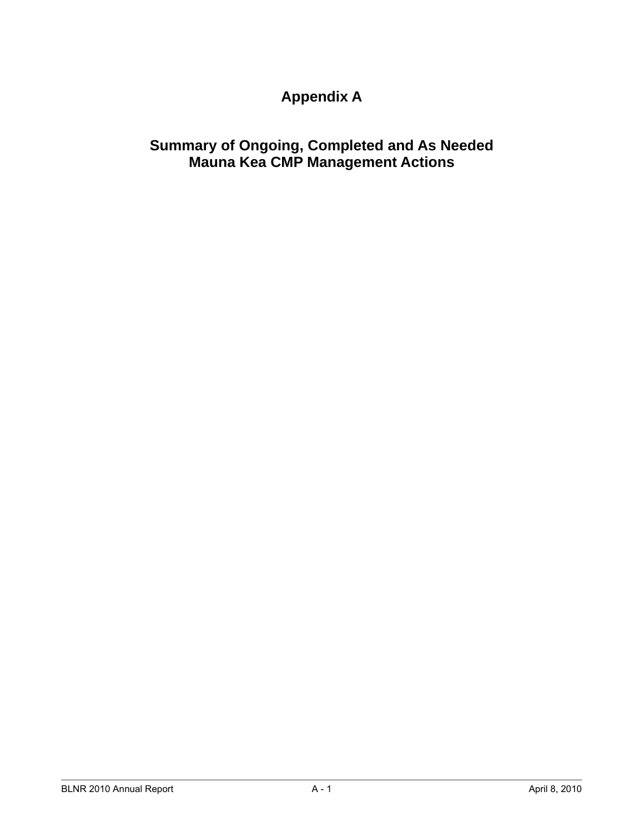# **Appendix A**

### **Summary of Ongoing, Completed and As Needed Mauna Kea CMP Management Actions**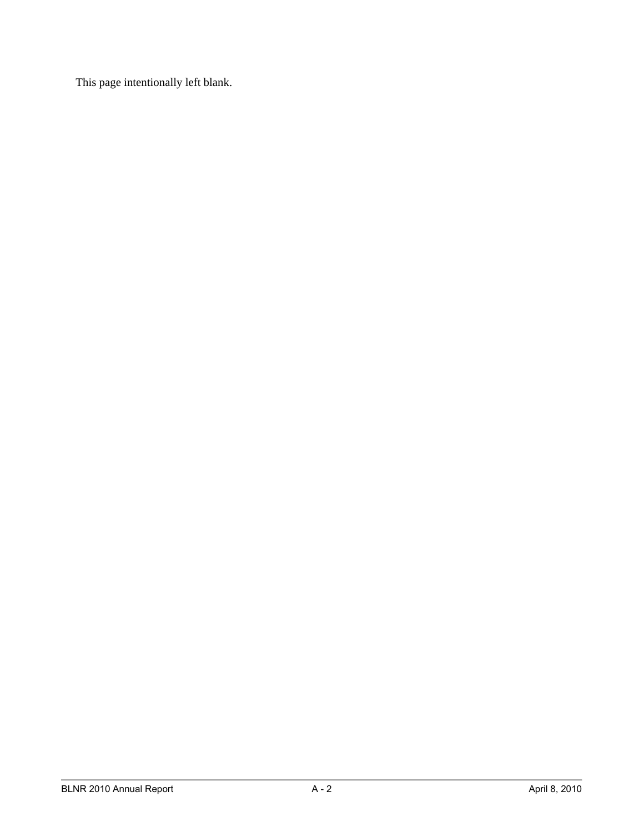This page intentionally left blank.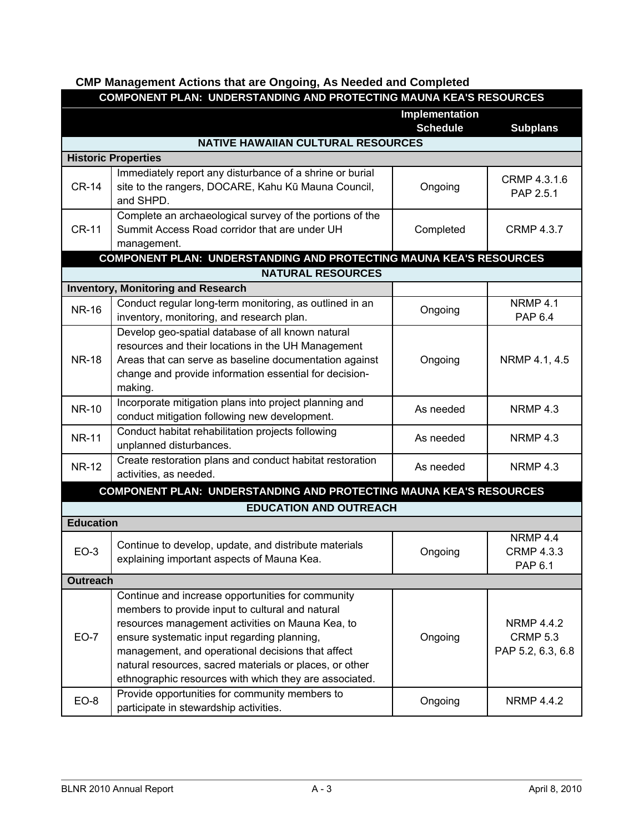## **CMP Management Actions that are Ongoing, As Needed and Completed**

| <b>COMPONENT PLAN: UNDERSTANDING AND PROTECTING MAUNA KEA'S RESOURCES</b> |                                                                                                                                                                                                                                                                                                                                                                                    |                                   |                                                           |  |  |  |  |
|---------------------------------------------------------------------------|------------------------------------------------------------------------------------------------------------------------------------------------------------------------------------------------------------------------------------------------------------------------------------------------------------------------------------------------------------------------------------|-----------------------------------|-----------------------------------------------------------|--|--|--|--|
|                                                                           |                                                                                                                                                                                                                                                                                                                                                                                    | Implementation<br><b>Schedule</b> | <b>Subplans</b>                                           |  |  |  |  |
|                                                                           | <b>NATIVE HAWAIIAN CULTURAL RESOURCES</b>                                                                                                                                                                                                                                                                                                                                          |                                   |                                                           |  |  |  |  |
|                                                                           | <b>Historic Properties</b>                                                                                                                                                                                                                                                                                                                                                         |                                   |                                                           |  |  |  |  |
| <b>CR-14</b>                                                              | Immediately report any disturbance of a shrine or burial<br>site to the rangers, DOCARE, Kahu Kū Mauna Council,<br>and SHPD.                                                                                                                                                                                                                                                       | Ongoing                           | CRMP 4.3.1.6<br>PAP 2.5.1                                 |  |  |  |  |
| <b>CR-11</b>                                                              | Complete an archaeological survey of the portions of the<br>Summit Access Road corridor that are under UH<br>management.                                                                                                                                                                                                                                                           | Completed                         | <b>CRMP 4.3.7</b>                                         |  |  |  |  |
|                                                                           | <b>COMPONENT PLAN: UNDERSTANDING AND PROTECTING MAUNA KEA'S RESOURCES</b>                                                                                                                                                                                                                                                                                                          |                                   |                                                           |  |  |  |  |
|                                                                           | <b>NATURAL RESOURCES</b>                                                                                                                                                                                                                                                                                                                                                           |                                   |                                                           |  |  |  |  |
|                                                                           | <b>Inventory, Monitoring and Research</b>                                                                                                                                                                                                                                                                                                                                          |                                   |                                                           |  |  |  |  |
| <b>NR-16</b>                                                              | Conduct regular long-term monitoring, as outlined in an<br>inventory, monitoring, and research plan.                                                                                                                                                                                                                                                                               | Ongoing                           | NRMP 4.1<br><b>PAP 6.4</b>                                |  |  |  |  |
| <b>NR-18</b>                                                              | Develop geo-spatial database of all known natural<br>resources and their locations in the UH Management<br>Areas that can serve as baseline documentation against<br>change and provide information essential for decision-<br>making.                                                                                                                                             | Ongoing                           | NRMP 4.1, 4.5                                             |  |  |  |  |
| <b>NR-10</b>                                                              | Incorporate mitigation plans into project planning and<br>conduct mitigation following new development.                                                                                                                                                                                                                                                                            | As needed                         | NRMP 4.3                                                  |  |  |  |  |
| <b>NR-11</b>                                                              | Conduct habitat rehabilitation projects following<br>unplanned disturbances.                                                                                                                                                                                                                                                                                                       | As needed                         | NRMP 4.3                                                  |  |  |  |  |
| <b>NR-12</b>                                                              | Create restoration plans and conduct habitat restoration<br>activities, as needed.                                                                                                                                                                                                                                                                                                 | As needed                         | NRMP 4.3                                                  |  |  |  |  |
|                                                                           | COMPONENT PLAN: UNDERSTANDING AND PROTECTING MAUNA KEA'S RESOURCES                                                                                                                                                                                                                                                                                                                 |                                   |                                                           |  |  |  |  |
|                                                                           | <b>EDUCATION AND OUTREACH</b>                                                                                                                                                                                                                                                                                                                                                      |                                   |                                                           |  |  |  |  |
| <b>Education</b>                                                          |                                                                                                                                                                                                                                                                                                                                                                                    |                                   |                                                           |  |  |  |  |
| $EO-3$                                                                    | Continue to develop, update, and distribute materials<br>explaining important aspects of Mauna Kea.                                                                                                                                                                                                                                                                                | Ongoing                           | NRMP 4.4<br><b>CRMP 4.3.3</b><br>PAP 6.1                  |  |  |  |  |
| <b>Outreach</b>                                                           |                                                                                                                                                                                                                                                                                                                                                                                    |                                   |                                                           |  |  |  |  |
| $EO-7$                                                                    | Continue and increase opportunities for community<br>members to provide input to cultural and natural<br>resources management activities on Mauna Kea, to<br>ensure systematic input regarding planning,<br>management, and operational decisions that affect<br>natural resources, sacred materials or places, or other<br>ethnographic resources with which they are associated. | Ongoing                           | <b>NRMP 4.4.2</b><br><b>CRMP 5.3</b><br>PAP 5.2, 6.3, 6.8 |  |  |  |  |
| EO-8                                                                      | Provide opportunities for community members to<br>participate in stewardship activities.                                                                                                                                                                                                                                                                                           | Ongoing                           | <b>NRMP 4.4.2</b>                                         |  |  |  |  |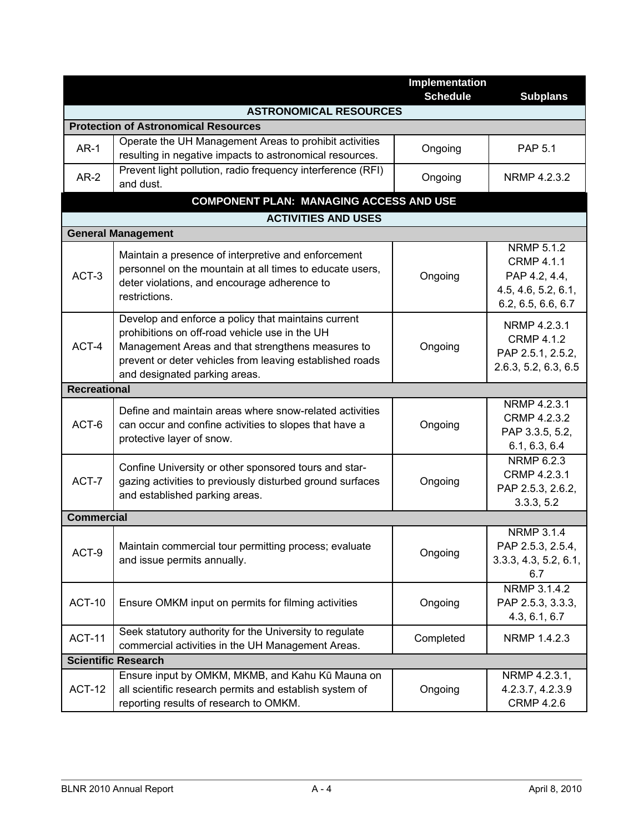|                     |                                                                                                                                                                                                                                                         | Implementation<br><b>Schedule</b> | <b>Subplans</b>                                                                                      |
|---------------------|---------------------------------------------------------------------------------------------------------------------------------------------------------------------------------------------------------------------------------------------------------|-----------------------------------|------------------------------------------------------------------------------------------------------|
|                     | <b>ASTRONOMICAL RESOURCES</b>                                                                                                                                                                                                                           |                                   |                                                                                                      |
|                     | <b>Protection of Astronomical Resources</b>                                                                                                                                                                                                             |                                   |                                                                                                      |
| $AR-1$              | Operate the UH Management Areas to prohibit activities<br>resulting in negative impacts to astronomical resources.                                                                                                                                      | Ongoing                           | <b>PAP 5.1</b>                                                                                       |
| $AR-2$              | Prevent light pollution, radio frequency interference (RFI)<br>and dust.                                                                                                                                                                                | Ongoing                           | NRMP 4.2.3.2                                                                                         |
|                     | <b>COMPONENT PLAN: MANAGING ACCESS AND USE</b>                                                                                                                                                                                                          |                                   |                                                                                                      |
|                     | <b>ACTIVITIES AND USES</b>                                                                                                                                                                                                                              |                                   |                                                                                                      |
|                     | <b>General Management</b>                                                                                                                                                                                                                               |                                   |                                                                                                      |
| ACT-3               | Maintain a presence of interpretive and enforcement<br>personnel on the mountain at all times to educate users,<br>deter violations, and encourage adherence to<br>restrictions.                                                                        | Ongoing                           | <b>NRMP 5.1.2</b><br><b>CRMP 4.1.1</b><br>PAP 4.2, 4.4,<br>4.5, 4.6, 5.2, 6.1,<br>6.2, 6.5, 6.6, 6.7 |
| ACT-4               | Develop and enforce a policy that maintains current<br>prohibitions on off-road vehicle use in the UH<br>Management Areas and that strengthens measures to<br>prevent or deter vehicles from leaving established roads<br>and designated parking areas. | Ongoing                           | NRMP 4.2.3.1<br><b>CRMP 4.1.2</b><br>PAP 2.5.1, 2.5.2,<br>2.6.3, 5.2, 6.3, 6.5                       |
| <b>Recreational</b> |                                                                                                                                                                                                                                                         |                                   |                                                                                                      |
| ACT-6               | Define and maintain areas where snow-related activities<br>can occur and confine activities to slopes that have a<br>protective layer of snow.                                                                                                          | Ongoing                           | NRMP 4.2.3.1<br>CRMP 4.2.3.2<br>PAP 3.3.5, 5.2,<br>6.1, 6.3, 6.4                                     |
| ACT-7               | Confine University or other sponsored tours and star-<br>gazing activities to previously disturbed ground surfaces<br>and established parking areas.                                                                                                    | Ongoing                           | <b>NRMP 6.2.3</b><br>CRMP 4.2.3.1<br>PAP 2.5.3, 2.6.2,<br>3.3.3, 5.2                                 |
| <b>Commercial</b>   |                                                                                                                                                                                                                                                         |                                   |                                                                                                      |
| ACT-9               | Maintain commercial tour permitting process; evaluate<br>and issue permits annually.                                                                                                                                                                    | Ongoing                           | <b>NRMP 3.1.4</b><br>PAP 2.5.3, 2.5.4,<br>3.3.3, 4.3, 5.2, 6.1,<br>6.7                               |
| ACT-10              | Ensure OMKM input on permits for filming activities                                                                                                                                                                                                     | Ongoing                           | NRMP 3.1.4.2<br>PAP 2.5.3, 3.3.3,<br>4.3, 6.1, 6.7                                                   |
| <b>ACT-11</b>       | Seek statutory authority for the University to regulate<br>commercial activities in the UH Management Areas.                                                                                                                                            | Completed                         | NRMP 1.4.2.3                                                                                         |
|                     | <b>Scientific Research</b>                                                                                                                                                                                                                              |                                   |                                                                                                      |
| <b>ACT-12</b>       | Ensure input by OMKM, MKMB, and Kahu Kū Mauna on<br>all scientific research permits and establish system of<br>reporting results of research to OMKM.                                                                                                   | Ongoing                           | NRMP 4.2.3.1,<br>4.2.3.7, 4.2.3.9<br><b>CRMP 4.2.6</b>                                               |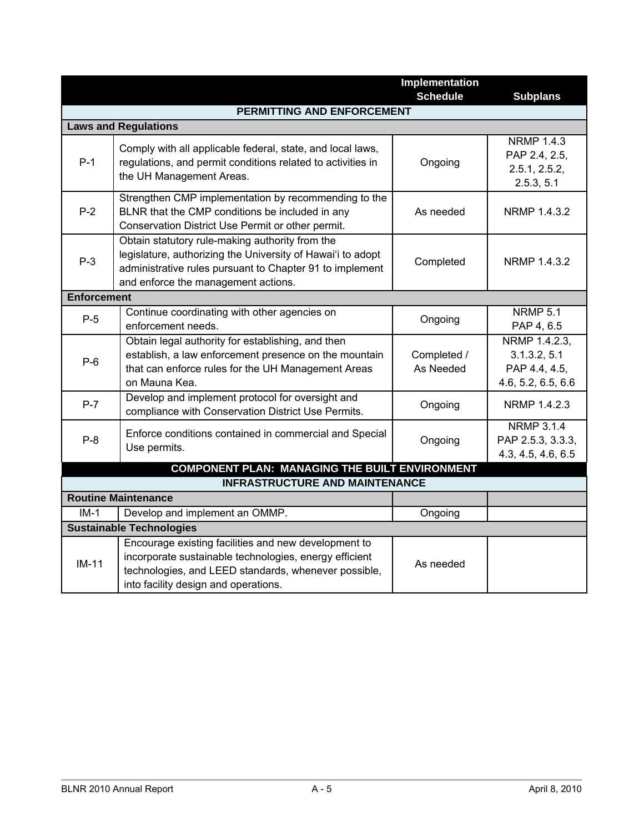| <b>Implementation</b> |                                                                                                                                                                                                                   |                          |                                                                      |  |  |  |
|-----------------------|-------------------------------------------------------------------------------------------------------------------------------------------------------------------------------------------------------------------|--------------------------|----------------------------------------------------------------------|--|--|--|
|                       |                                                                                                                                                                                                                   | <b>Schedule</b>          | <b>Subplans</b>                                                      |  |  |  |
|                       | PERMITTING AND ENFORCEMENT                                                                                                                                                                                        |                          |                                                                      |  |  |  |
|                       | <b>Laws and Regulations</b>                                                                                                                                                                                       |                          |                                                                      |  |  |  |
| $P-1$                 | Comply with all applicable federal, state, and local laws,<br>regulations, and permit conditions related to activities in<br>the UH Management Areas.                                                             | Ongoing                  | <b>NRMP 1.4.3</b><br>PAP 2.4, 2.5,<br>2.5.1, 2.5.2,<br>2.5.3, 5.1    |  |  |  |
| $P-2$                 | Strengthen CMP implementation by recommending to the<br>BLNR that the CMP conditions be included in any<br>Conservation District Use Permit or other permit.                                                      | As needed                | NRMP 1.4.3.2                                                         |  |  |  |
| $P-3$                 | Obtain statutory rule-making authority from the<br>legislature, authorizing the University of Hawai'i to adopt<br>administrative rules pursuant to Chapter 91 to implement<br>and enforce the management actions. | Completed                | NRMP 1.4.3.2                                                         |  |  |  |
| <b>Enforcement</b>    |                                                                                                                                                                                                                   |                          |                                                                      |  |  |  |
| $P-5$                 | Continue coordinating with other agencies on<br>enforcement needs.                                                                                                                                                | Ongoing                  | <b>NRMP 5.1</b><br>PAP 4, 6.5                                        |  |  |  |
| $P-6$                 | Obtain legal authority for establishing, and then<br>establish, a law enforcement presence on the mountain<br>that can enforce rules for the UH Management Areas<br>on Mauna Kea.                                 | Completed /<br>As Needed | NRMP 1.4.2.3,<br>3.1.3.2, 5.1<br>PAP 4.4, 4.5,<br>4.6, 5.2, 6.5, 6.6 |  |  |  |
| $P-7$                 | Develop and implement protocol for oversight and<br>compliance with Conservation District Use Permits.                                                                                                            | Ongoing                  | NRMP 1.4.2.3                                                         |  |  |  |
| $P-8$                 | Enforce conditions contained in commercial and Special<br>Use permits.                                                                                                                                            | Ongoing                  | <b>NRMP 3.1.4</b><br>PAP 2.5.3, 3.3.3,<br>4.3, 4.5, 4.6, 6.5         |  |  |  |
|                       | <b>COMPONENT PLAN: MANAGING THE BUILT ENVIRONMENT</b>                                                                                                                                                             |                          |                                                                      |  |  |  |
|                       | <b>INFRASTRUCTURE AND MAINTENANCE</b>                                                                                                                                                                             |                          |                                                                      |  |  |  |
|                       | <b>Routine Maintenance</b>                                                                                                                                                                                        |                          |                                                                      |  |  |  |
| $IM-1$                | Develop and implement an OMMP.                                                                                                                                                                                    | Ongoing                  |                                                                      |  |  |  |
|                       | <b>Sustainable Technologies</b>                                                                                                                                                                                   |                          |                                                                      |  |  |  |
| $IM-11$               | Encourage existing facilities and new development to<br>incorporate sustainable technologies, energy efficient<br>technologies, and LEED standards, whenever possible,<br>into facility design and operations.    | As needed                |                                                                      |  |  |  |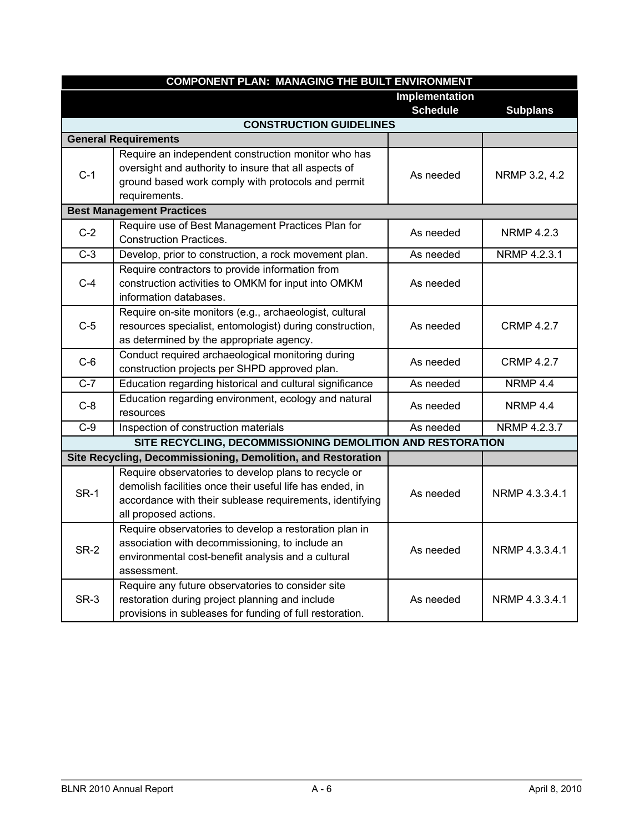| <b>COMPONENT PLAN: MANAGING THE BUILT ENVIRONMENT</b> |                                                                                     |                 |                   |  |  |  |  |
|-------------------------------------------------------|-------------------------------------------------------------------------------------|-----------------|-------------------|--|--|--|--|
|                                                       |                                                                                     | Implementation  |                   |  |  |  |  |
|                                                       |                                                                                     | <b>Schedule</b> | <b>Subplans</b>   |  |  |  |  |
|                                                       | <b>CONSTRUCTION GUIDELINES</b>                                                      |                 |                   |  |  |  |  |
|                                                       | <b>General Requirements</b>                                                         |                 |                   |  |  |  |  |
|                                                       | Require an independent construction monitor who has                                 |                 |                   |  |  |  |  |
| $C-1$                                                 | oversight and authority to insure that all aspects of                               | As needed       | NRMP 3.2, 4.2     |  |  |  |  |
|                                                       | ground based work comply with protocols and permit                                  |                 |                   |  |  |  |  |
|                                                       | requirements.                                                                       |                 |                   |  |  |  |  |
|                                                       | <b>Best Management Practices</b>                                                    |                 |                   |  |  |  |  |
| $C-2$                                                 | Require use of Best Management Practices Plan for<br><b>Construction Practices.</b> | As needed       | <b>NRMP 4.2.3</b> |  |  |  |  |
| $C-3$                                                 | Develop, prior to construction, a rock movement plan.                               | As needed       | NRMP 4.2.3.1      |  |  |  |  |
|                                                       | Require contractors to provide information from                                     |                 |                   |  |  |  |  |
| $C-4$                                                 | construction activities to OMKM for input into OMKM                                 | As needed       |                   |  |  |  |  |
|                                                       | information databases.                                                              |                 |                   |  |  |  |  |
|                                                       | Require on-site monitors (e.g., archaeologist, cultural                             |                 |                   |  |  |  |  |
| $C-5$                                                 | resources specialist, entomologist) during construction,                            | As needed       | <b>CRMP 4.2.7</b> |  |  |  |  |
|                                                       | as determined by the appropriate agency.                                            |                 |                   |  |  |  |  |
|                                                       | Conduct required archaeological monitoring during                                   |                 |                   |  |  |  |  |
| $C-6$                                                 | construction projects per SHPD approved plan.                                       | As needed       | <b>CRMP 4.2.7</b> |  |  |  |  |
| $C-7$                                                 | Education regarding historical and cultural significance                            | As needed       | NRMP 4.4          |  |  |  |  |
|                                                       | Education regarding environment, ecology and natural                                |                 |                   |  |  |  |  |
| $C-8$                                                 | resources                                                                           | As needed       | NRMP 4.4          |  |  |  |  |
| $C-9$                                                 | Inspection of construction materials                                                | As needed       | NRMP 4.2.3.7      |  |  |  |  |
|                                                       | SITE RECYCLING, DECOMMISSIONING DEMOLITION AND RESTORATION                          |                 |                   |  |  |  |  |
|                                                       | Site Recycling, Decommissioning, Demolition, and Restoration                        |                 |                   |  |  |  |  |
|                                                       | Require observatories to develop plans to recycle or                                |                 |                   |  |  |  |  |
| <b>SR-1</b>                                           | demolish facilities once their useful life has ended, in                            | As needed       | NRMP 4.3.3.4.1    |  |  |  |  |
|                                                       | accordance with their sublease requirements, identifying                            |                 |                   |  |  |  |  |
|                                                       | all proposed actions.                                                               |                 |                   |  |  |  |  |
|                                                       | Require observatories to develop a restoration plan in                              |                 |                   |  |  |  |  |
| <b>SR-2</b>                                           | association with decommissioning, to include an                                     | As needed       | NRMP 4.3.3.4.1    |  |  |  |  |
|                                                       | environmental cost-benefit analysis and a cultural                                  |                 |                   |  |  |  |  |
|                                                       | assessment.                                                                         |                 |                   |  |  |  |  |
|                                                       | Require any future observatories to consider site                                   |                 |                   |  |  |  |  |
| SR-3                                                  | restoration during project planning and include                                     | As needed       | NRMP 4.3.3.4.1    |  |  |  |  |
|                                                       | provisions in subleases for funding of full restoration.                            |                 |                   |  |  |  |  |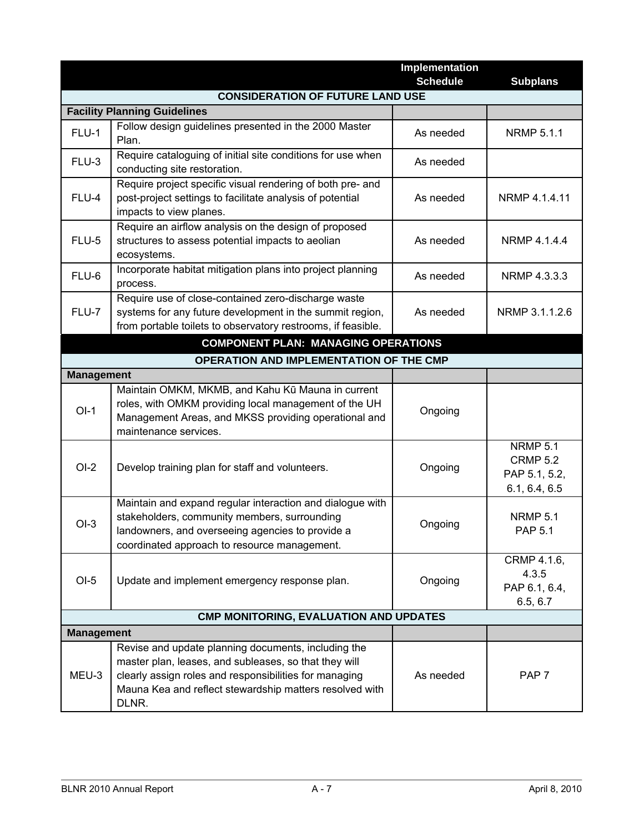|                   |                                                                                                                                                                                                                                            | Implementation<br><b>Schedule</b> | <b>Subplans</b>                                                      |
|-------------------|--------------------------------------------------------------------------------------------------------------------------------------------------------------------------------------------------------------------------------------------|-----------------------------------|----------------------------------------------------------------------|
|                   | <b>CONSIDERATION OF FUTURE LAND USE</b>                                                                                                                                                                                                    |                                   |                                                                      |
|                   | <b>Facility Planning Guidelines</b>                                                                                                                                                                                                        |                                   |                                                                      |
| FLU-1             | Follow design guidelines presented in the 2000 Master<br>Plan.                                                                                                                                                                             | As needed                         | <b>NRMP 5.1.1</b>                                                    |
| FLU-3             | Require cataloguing of initial site conditions for use when<br>conducting site restoration.                                                                                                                                                | As needed                         |                                                                      |
| FLU-4             | Require project specific visual rendering of both pre- and<br>post-project settings to facilitate analysis of potential<br>impacts to view planes.                                                                                         | As needed                         | NRMP 4.1.4.11                                                        |
| FLU-5             | Require an airflow analysis on the design of proposed<br>structures to assess potential impacts to aeolian<br>ecosystems.                                                                                                                  | As needed                         | NRMP 4.1.4.4                                                         |
| FLU-6             | Incorporate habitat mitigation plans into project planning<br>process.                                                                                                                                                                     | As needed                         | NRMP 4.3.3.3                                                         |
| FLU-7             | Require use of close-contained zero-discharge waste<br>systems for any future development in the summit region,<br>from portable toilets to observatory restrooms, if feasible.                                                            | As needed                         | NRMP 3.1.1.2.6                                                       |
|                   | <b>COMPONENT PLAN: MANAGING OPERATIONS</b>                                                                                                                                                                                                 |                                   |                                                                      |
|                   | <b>OPERATION AND IMPLEMENTATION OF THE CMP</b>                                                                                                                                                                                             |                                   |                                                                      |
| <b>Management</b> |                                                                                                                                                                                                                                            |                                   |                                                                      |
| $OI-1$            | Maintain OMKM, MKMB, and Kahu Kū Mauna in current<br>roles, with OMKM providing local management of the UH<br>Management Areas, and MKSS providing operational and<br>maintenance services.                                                | Ongoing                           |                                                                      |
| $OI-2$            | Develop training plan for staff and volunteers.                                                                                                                                                                                            | Ongoing                           | <b>NRMP 5.1</b><br><b>CRMP 5.2</b><br>PAP 5.1, 5.2,<br>6.1, 6.4, 6.5 |
| $OI-3$            | Maintain and expand regular interaction and dialogue with<br>stakeholders, community members, surrounding<br>landowners, and overseeing agencies to provide a<br>coordinated approach to resource management.                              | Ongoing                           | <b>NRMP 5.1</b><br>PAP 5.1                                           |
| $OI-5$            | Update and implement emergency response plan.                                                                                                                                                                                              | Ongoing                           | CRMP 4.1.6,<br>4.3.5<br>PAP 6.1, 6.4,<br>6.5, 6.7                    |
|                   | <b>CMP MONITORING, EVALUATION AND UPDATES</b>                                                                                                                                                                                              |                                   |                                                                      |
| <b>Management</b> |                                                                                                                                                                                                                                            |                                   |                                                                      |
| MEU-3             | Revise and update planning documents, including the<br>master plan, leases, and subleases, so that they will<br>clearly assign roles and responsibilities for managing<br>Mauna Kea and reflect stewardship matters resolved with<br>DLNR. | As needed                         | PAP <sub>7</sub>                                                     |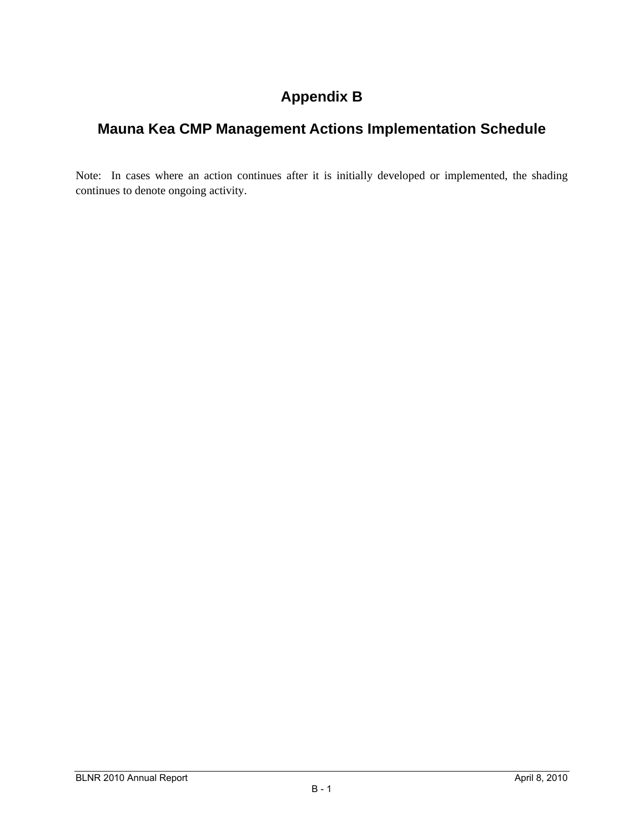# **Appendix B**

## **Mauna Kea CMP Management Actions Implementation Schedule**

Note: In cases where an action continues after it is initially developed or implemented, the shading continues to denote ongoing activity.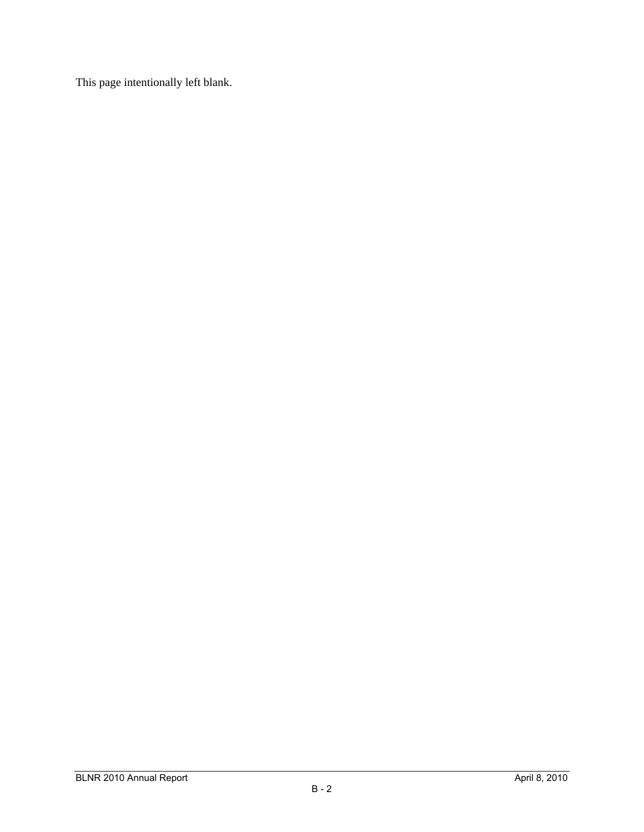This page intentionally left blank.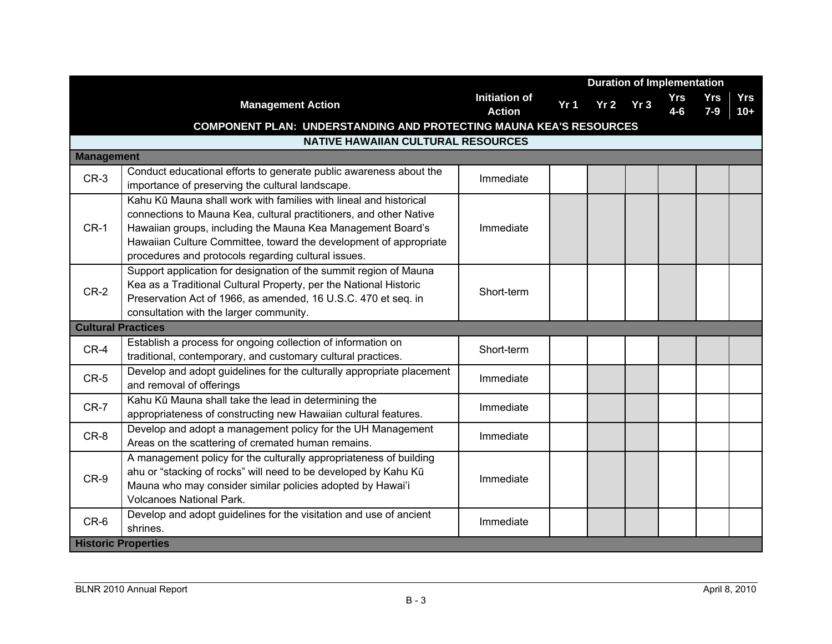|                   |                                                                                                                                                                                                                                                                                                                                    |                                       | <b>Duration of Implementation</b> |  |         |                       |                       |              |
|-------------------|------------------------------------------------------------------------------------------------------------------------------------------------------------------------------------------------------------------------------------------------------------------------------------------------------------------------------------|---------------------------------------|-----------------------------------|--|---------|-----------------------|-----------------------|--------------|
|                   | <b>Management Action</b>                                                                                                                                                                                                                                                                                                           | <b>Initiation of</b><br><b>Action</b> | Yr <sub>1</sub>                   |  | Yr2 Yr3 | <b>Yrs</b><br>$4 - 6$ | <b>Yrs</b><br>$7 - 9$ | Yrs<br>$10+$ |
|                   | <b>COMPONENT PLAN: UNDERSTANDING AND PROTECTING MAUNA KEA'S RESOURCES</b>                                                                                                                                                                                                                                                          |                                       |                                   |  |         |                       |                       |              |
|                   | <b>NATIVE HAWAIIAN CULTURAL RESOURCES</b>                                                                                                                                                                                                                                                                                          |                                       |                                   |  |         |                       |                       |              |
| <b>Management</b> |                                                                                                                                                                                                                                                                                                                                    |                                       |                                   |  |         |                       |                       |              |
| $CR-3$            | Conduct educational efforts to generate public awareness about the<br>importance of preserving the cultural landscape.                                                                                                                                                                                                             | Immediate                             |                                   |  |         |                       |                       |              |
| $CR-1$            | Kahu Kū Mauna shall work with families with lineal and historical<br>connections to Mauna Kea, cultural practitioners, and other Native<br>Hawaiian groups, including the Mauna Kea Management Board's<br>Hawaiian Culture Committee, toward the development of appropriate<br>procedures and protocols regarding cultural issues. | Immediate                             |                                   |  |         |                       |                       |              |
| $CR-2$            | Support application for designation of the summit region of Mauna<br>Kea as a Traditional Cultural Property, per the National Historic<br>Preservation Act of 1966, as amended, 16 U.S.C. 470 et seq. in<br>consultation with the larger community.                                                                                | Short-term                            |                                   |  |         |                       |                       |              |
|                   | <b>Cultural Practices</b>                                                                                                                                                                                                                                                                                                          |                                       |                                   |  |         |                       |                       |              |
| $CR-4$            | Establish a process for ongoing collection of information on<br>traditional, contemporary, and customary cultural practices.                                                                                                                                                                                                       | Short-term                            |                                   |  |         |                       |                       |              |
| $CR-5$            | Develop and adopt guidelines for the culturally appropriate placement<br>and removal of offerings                                                                                                                                                                                                                                  | Immediate                             |                                   |  |         |                       |                       |              |
| $CR-7$            | Kahu Kū Mauna shall take the lead in determining the<br>appropriateness of constructing new Hawaiian cultural features.                                                                                                                                                                                                            | Immediate                             |                                   |  |         |                       |                       |              |
| CR-8              | Develop and adopt a management policy for the UH Management<br>Areas on the scattering of cremated human remains.                                                                                                                                                                                                                  | Immediate                             |                                   |  |         |                       |                       |              |
| CR-9              | A management policy for the culturally appropriateness of building<br>ahu or "stacking of rocks" will need to be developed by Kahu Kū<br>Mauna who may consider similar policies adopted by Hawai'i<br><b>Volcanoes National Park.</b>                                                                                             | Immediate                             |                                   |  |         |                       |                       |              |
| CR-6              | Develop and adopt guidelines for the visitation and use of ancient<br>shrines.                                                                                                                                                                                                                                                     | Immediate                             |                                   |  |         |                       |                       |              |
|                   | <b>Historic Properties</b>                                                                                                                                                                                                                                                                                                         |                                       |                                   |  |         |                       |                       |              |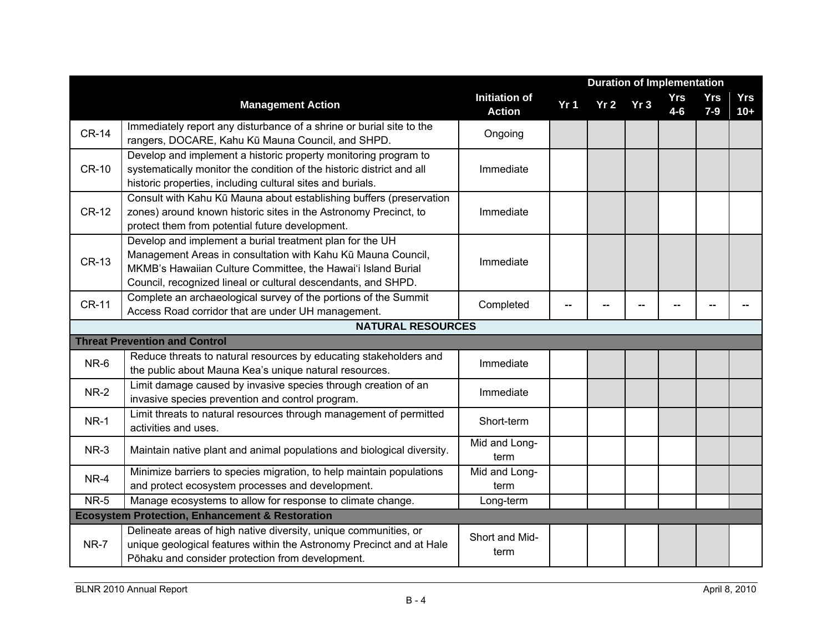|              |                                                                                                                                                                                                                                                           |                                       | <b>Duration of Implementation</b> |                 |                 |                       |                     |                     |
|--------------|-----------------------------------------------------------------------------------------------------------------------------------------------------------------------------------------------------------------------------------------------------------|---------------------------------------|-----------------------------------|-----------------|-----------------|-----------------------|---------------------|---------------------|
|              | <b>Management Action</b>                                                                                                                                                                                                                                  | <b>Initiation of</b><br><b>Action</b> | Yr <sub>1</sub>                   | Yr <sub>2</sub> | Yr <sub>3</sub> | <b>Yrs</b><br>$4 - 6$ | <b>Yrs</b><br>$7-9$ | <b>Yrs</b><br>$10+$ |
| <b>CR-14</b> | Immediately report any disturbance of a shrine or burial site to the<br>rangers, DOCARE, Kahu Kū Mauna Council, and SHPD.                                                                                                                                 | Ongoing                               |                                   |                 |                 |                       |                     |                     |
| <b>CR-10</b> | Develop and implement a historic property monitoring program to<br>systematically monitor the condition of the historic district and all<br>historic properties, including cultural sites and burials.                                                    | Immediate                             |                                   |                 |                 |                       |                     |                     |
| <b>CR-12</b> | Consult with Kahu Kū Mauna about establishing buffers (preservation<br>zones) around known historic sites in the Astronomy Precinct, to<br>protect them from potential future development.                                                                | Immediate                             |                                   |                 |                 |                       |                     |                     |
| <b>CR-13</b> | Develop and implement a burial treatment plan for the UH<br>Management Areas in consultation with Kahu Kū Mauna Council,<br>MKMB's Hawaiian Culture Committee, the Hawai'i Island Burial<br>Council, recognized lineal or cultural descendants, and SHPD. | Immediate                             |                                   |                 |                 |                       |                     |                     |
| <b>CR-11</b> | Complete an archaeological survey of the portions of the Summit<br>Access Road corridor that are under UH management.                                                                                                                                     | Completed                             |                                   |                 |                 |                       |                     |                     |
|              | <b>NATURAL RESOURCES</b><br><b>Threat Prevention and Control</b>                                                                                                                                                                                          |                                       |                                   |                 |                 |                       |                     |                     |
|              | Reduce threats to natural resources by educating stakeholders and                                                                                                                                                                                         |                                       |                                   |                 |                 |                       |                     |                     |
| NR-6         | the public about Mauna Kea's unique natural resources.                                                                                                                                                                                                    | Immediate                             |                                   |                 |                 |                       |                     |                     |
| <b>NR-2</b>  | Limit damage caused by invasive species through creation of an<br>invasive species prevention and control program.                                                                                                                                        | Immediate                             |                                   |                 |                 |                       |                     |                     |
| <b>NR-1</b>  | Limit threats to natural resources through management of permitted<br>activities and uses.                                                                                                                                                                | Short-term                            |                                   |                 |                 |                       |                     |                     |
| $NR-3$       | Maintain native plant and animal populations and biological diversity.                                                                                                                                                                                    | Mid and Long-<br>term                 |                                   |                 |                 |                       |                     |                     |
| NR-4         | Minimize barriers to species migration, to help maintain populations<br>and protect ecosystem processes and development.                                                                                                                                  | Mid and Long-<br>term                 |                                   |                 |                 |                       |                     |                     |
| <b>NR-5</b>  | Manage ecosystems to allow for response to climate change.                                                                                                                                                                                                | Long-term                             |                                   |                 |                 |                       |                     |                     |
|              | <b>Ecosystem Protection, Enhancement &amp; Restoration</b>                                                                                                                                                                                                |                                       |                                   |                 |                 |                       |                     |                     |
| NR-7         | Delineate areas of high native diversity, unique communities, or<br>unique geological features within the Astronomy Precinct and at Hale<br>Pōhaku and consider protection from development.                                                              | Short and Mid-<br>term                |                                   |                 |                 |                       |                     |                     |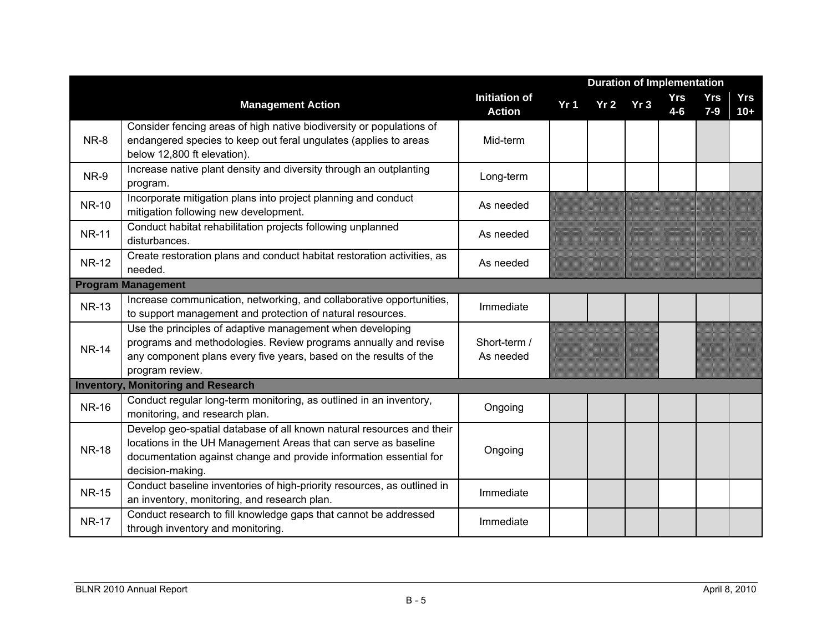|              |                                                                                                                                                                                                                                    |                                       | <b>Duration of Implementation</b> |                 |                 |                |                     |                     |
|--------------|------------------------------------------------------------------------------------------------------------------------------------------------------------------------------------------------------------------------------------|---------------------------------------|-----------------------------------|-----------------|-----------------|----------------|---------------------|---------------------|
|              | <b>Management Action</b>                                                                                                                                                                                                           | <b>Initiation of</b><br><b>Action</b> | Yr <sub>1</sub>                   | Yr <sub>2</sub> | Yr <sub>3</sub> | Yrs<br>$4 - 6$ | <b>Yrs</b><br>$7-9$ | <b>Yrs</b><br>$10+$ |
| NR-8         | Consider fencing areas of high native biodiversity or populations of<br>endangered species to keep out feral ungulates (applies to areas<br>below 12,800 ft elevation).                                                            | Mid-term                              |                                   |                 |                 |                |                     |                     |
| NR-9         | Increase native plant density and diversity through an outplanting<br>program.                                                                                                                                                     | Long-term                             |                                   |                 |                 |                |                     |                     |
| <b>NR-10</b> | Incorporate mitigation plans into project planning and conduct<br>mitigation following new development.                                                                                                                            | As needed                             |                                   |                 |                 |                |                     |                     |
| <b>NR-11</b> | Conduct habitat rehabilitation projects following unplanned<br>disturbances.                                                                                                                                                       | As needed                             |                                   |                 |                 |                |                     |                     |
| <b>NR-12</b> | Create restoration plans and conduct habitat restoration activities, as<br>needed.                                                                                                                                                 | As needed                             |                                   |                 |                 |                |                     |                     |
|              | <b>Program Management</b>                                                                                                                                                                                                          |                                       |                                   |                 |                 |                |                     |                     |
| <b>NR-13</b> | Increase communication, networking, and collaborative opportunities,<br>to support management and protection of natural resources.                                                                                                 | Immediate                             |                                   |                 |                 |                |                     |                     |
| <b>NR-14</b> | Use the principles of adaptive management when developing<br>programs and methodologies. Review programs annually and revise<br>any component plans every five years, based on the results of the<br>program review.               | Short-term /<br>As needed             |                                   |                 |                 |                |                     |                     |
|              | <b>Inventory, Monitoring and Research</b>                                                                                                                                                                                          |                                       |                                   |                 |                 |                |                     |                     |
| <b>NR-16</b> | Conduct regular long-term monitoring, as outlined in an inventory,<br>monitoring, and research plan.                                                                                                                               | Ongoing                               |                                   |                 |                 |                |                     |                     |
| <b>NR-18</b> | Develop geo-spatial database of all known natural resources and their<br>locations in the UH Management Areas that can serve as baseline<br>documentation against change and provide information essential for<br>decision-making. | Ongoing                               |                                   |                 |                 |                |                     |                     |
| <b>NR-15</b> | Conduct baseline inventories of high-priority resources, as outlined in<br>an inventory, monitoring, and research plan.                                                                                                            | Immediate                             |                                   |                 |                 |                |                     |                     |
| <b>NR-17</b> | Conduct research to fill knowledge gaps that cannot be addressed<br>through inventory and monitoring.                                                                                                                              | Immediate                             |                                   |                 |                 |                |                     |                     |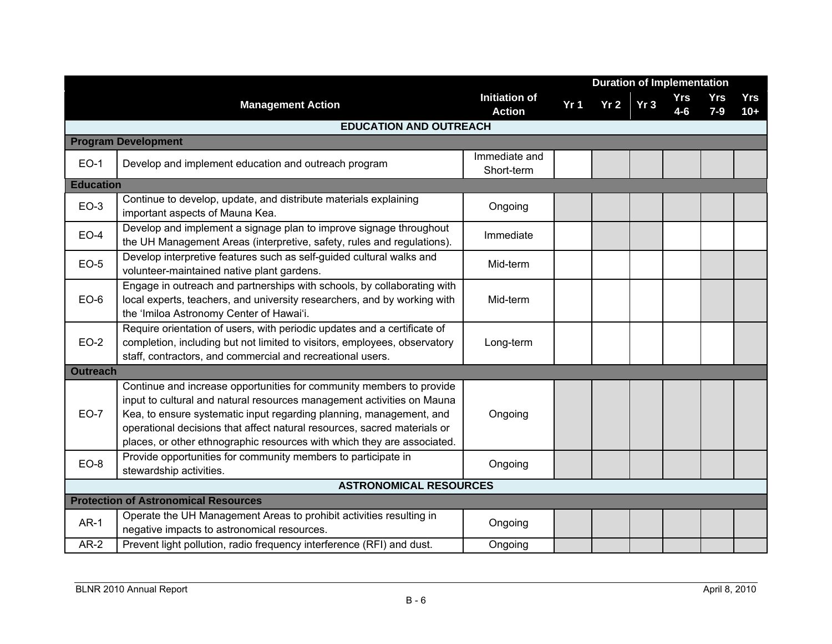|                  |                                                                                                                                                                                                                                                                                                                                                                              |                                       |                 | <b>Duration of Implementation</b> |                 |                       |                       |                     |
|------------------|------------------------------------------------------------------------------------------------------------------------------------------------------------------------------------------------------------------------------------------------------------------------------------------------------------------------------------------------------------------------------|---------------------------------------|-----------------|-----------------------------------|-----------------|-----------------------|-----------------------|---------------------|
|                  | <b>Management Action</b>                                                                                                                                                                                                                                                                                                                                                     | <b>Initiation of</b><br><b>Action</b> | Yr <sub>1</sub> | Yr <sub>2</sub>                   | Yr <sub>3</sub> | <b>Yrs</b><br>$4 - 6$ | <b>Yrs</b><br>$7 - 9$ | <b>Yrs</b><br>$10+$ |
|                  | <b>EDUCATION AND OUTREACH</b>                                                                                                                                                                                                                                                                                                                                                |                                       |                 |                                   |                 |                       |                       |                     |
|                  | <b>Program Development</b>                                                                                                                                                                                                                                                                                                                                                   |                                       |                 |                                   |                 |                       |                       |                     |
| <b>EO-1</b>      | Develop and implement education and outreach program                                                                                                                                                                                                                                                                                                                         | Immediate and<br>Short-term           |                 |                                   |                 |                       |                       |                     |
| <b>Education</b> |                                                                                                                                                                                                                                                                                                                                                                              |                                       |                 |                                   |                 |                       |                       |                     |
| $EO-3$           | Continue to develop, update, and distribute materials explaining<br>important aspects of Mauna Kea.                                                                                                                                                                                                                                                                          | Ongoing                               |                 |                                   |                 |                       |                       |                     |
| $EO-4$           | Develop and implement a signage plan to improve signage throughout<br>the UH Management Areas (interpretive, safety, rules and regulations).                                                                                                                                                                                                                                 | Immediate                             |                 |                                   |                 |                       |                       |                     |
| $EO-5$           | Develop interpretive features such as self-guided cultural walks and<br>volunteer-maintained native plant gardens.                                                                                                                                                                                                                                                           | Mid-term                              |                 |                                   |                 |                       |                       |                     |
| $EO-6$           | Engage in outreach and partnerships with schools, by collaborating with<br>local experts, teachers, and university researchers, and by working with<br>the 'Imiloa Astronomy Center of Hawai'i.                                                                                                                                                                              | Mid-term                              |                 |                                   |                 |                       |                       |                     |
| $EO-2$           | Require orientation of users, with periodic updates and a certificate of<br>completion, including but not limited to visitors, employees, observatory<br>staff, contractors, and commercial and recreational users.                                                                                                                                                          | Long-term                             |                 |                                   |                 |                       |                       |                     |
| <b>Outreach</b>  |                                                                                                                                                                                                                                                                                                                                                                              |                                       |                 |                                   |                 |                       |                       |                     |
| <b>EO-7</b>      | Continue and increase opportunities for community members to provide<br>input to cultural and natural resources management activities on Mauna<br>Kea, to ensure systematic input regarding planning, management, and<br>operational decisions that affect natural resources, sacred materials or<br>places, or other ethnographic resources with which they are associated. | Ongoing                               |                 |                                   |                 |                       |                       |                     |
| $EO-8$           | Provide opportunities for community members to participate in<br>stewardship activities.                                                                                                                                                                                                                                                                                     | Ongoing                               |                 |                                   |                 |                       |                       |                     |
|                  | <b>ASTRONOMICAL RESOURCES</b>                                                                                                                                                                                                                                                                                                                                                |                                       |                 |                                   |                 |                       |                       |                     |
|                  | <b>Protection of Astronomical Resources</b>                                                                                                                                                                                                                                                                                                                                  |                                       |                 |                                   |                 |                       |                       |                     |
| $AR-1$           | Operate the UH Management Areas to prohibit activities resulting in<br>negative impacts to astronomical resources.                                                                                                                                                                                                                                                           | Ongoing                               |                 |                                   |                 |                       |                       |                     |
| $AR-2$           | Prevent light pollution, radio frequency interference (RFI) and dust.                                                                                                                                                                                                                                                                                                        | Ongoing                               |                 |                                   |                 |                       |                       |                     |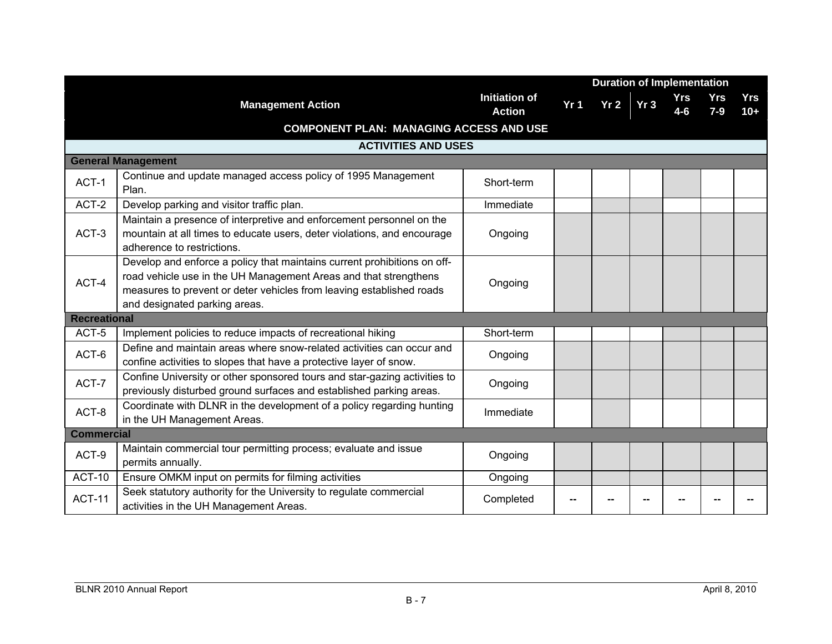|                     |                                                                                                                                                                                                                                                       |                                       |                 | <b>Duration of Implementation</b> |            |                |                     |
|---------------------|-------------------------------------------------------------------------------------------------------------------------------------------------------------------------------------------------------------------------------------------------------|---------------------------------------|-----------------|-----------------------------------|------------|----------------|---------------------|
|                     | <b>Management Action</b>                                                                                                                                                                                                                              | <b>Initiation of</b><br><b>Action</b> | Yr <sub>1</sub> | Yr 2 Yr 3                         | Yrs<br>4-6 | Yrs<br>$7 - 9$ | <b>Yrs</b><br>$10+$ |
|                     | <b>COMPONENT PLAN: MANAGING ACCESS AND USE</b>                                                                                                                                                                                                        |                                       |                 |                                   |            |                |                     |
|                     | <b>ACTIVITIES AND USES</b>                                                                                                                                                                                                                            |                                       |                 |                                   |            |                |                     |
|                     | <b>General Management</b>                                                                                                                                                                                                                             |                                       |                 |                                   |            |                |                     |
| ACT-1               | Continue and update managed access policy of 1995 Management<br>Plan.                                                                                                                                                                                 | Short-term                            |                 |                                   |            |                |                     |
| ACT-2               | Develop parking and visitor traffic plan.                                                                                                                                                                                                             | Immediate                             |                 |                                   |            |                |                     |
| ACT-3               | Maintain a presence of interpretive and enforcement personnel on the<br>mountain at all times to educate users, deter violations, and encourage<br>adherence to restrictions.                                                                         | Ongoing                               |                 |                                   |            |                |                     |
| ACT-4               | Develop and enforce a policy that maintains current prohibitions on off-<br>road vehicle use in the UH Management Areas and that strengthens<br>measures to prevent or deter vehicles from leaving established roads<br>and designated parking areas. | Ongoing                               |                 |                                   |            |                |                     |
| <b>Recreational</b> |                                                                                                                                                                                                                                                       |                                       |                 |                                   |            |                |                     |
| ACT-5               | Implement policies to reduce impacts of recreational hiking                                                                                                                                                                                           | Short-term                            |                 |                                   |            |                |                     |
| ACT-6               | Define and maintain areas where snow-related activities can occur and<br>confine activities to slopes that have a protective layer of snow.                                                                                                           | Ongoing                               |                 |                                   |            |                |                     |
| ACT-7               | Confine University or other sponsored tours and star-gazing activities to<br>previously disturbed ground surfaces and established parking areas.                                                                                                      | Ongoing                               |                 |                                   |            |                |                     |
| ACT-8               | Coordinate with DLNR in the development of a policy regarding hunting<br>in the UH Management Areas.                                                                                                                                                  | Immediate                             |                 |                                   |            |                |                     |
| <b>Commercial</b>   |                                                                                                                                                                                                                                                       |                                       |                 |                                   |            |                |                     |
| ACT-9               | Maintain commercial tour permitting process; evaluate and issue<br>permits annually.                                                                                                                                                                  | Ongoing                               |                 |                                   |            |                |                     |
| <b>ACT-10</b>       | Ensure OMKM input on permits for filming activities                                                                                                                                                                                                   | Ongoing                               |                 |                                   |            |                |                     |
| <b>ACT-11</b>       | Seek statutory authority for the University to regulate commercial<br>activities in the UH Management Areas.                                                                                                                                          | Completed                             |                 |                                   |            |                |                     |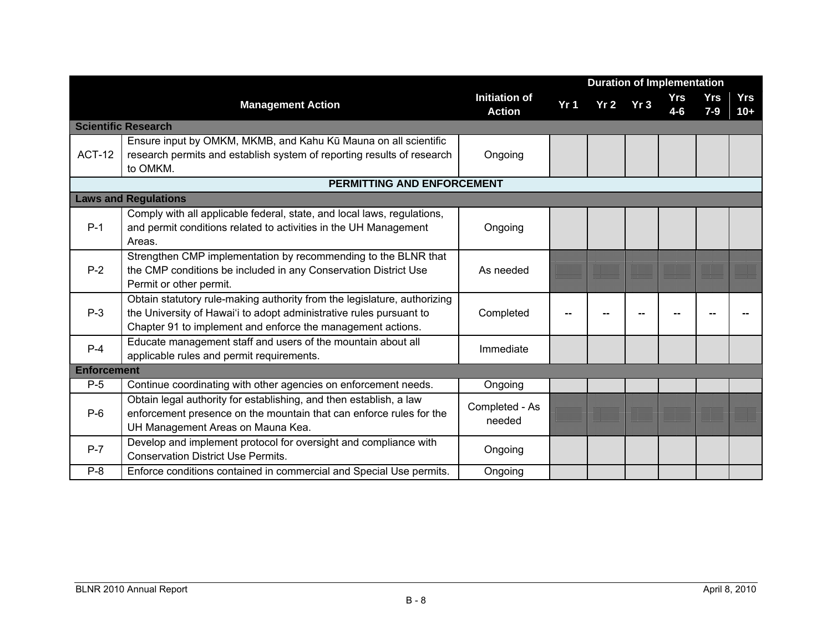|                    |                                                                                                                                                                                                                |                                       |                 | <b>Duration of Implementation</b> |                 |            |                |              |
|--------------------|----------------------------------------------------------------------------------------------------------------------------------------------------------------------------------------------------------------|---------------------------------------|-----------------|-----------------------------------|-----------------|------------|----------------|--------------|
|                    | <b>Management Action</b>                                                                                                                                                                                       | <b>Initiation of</b><br><b>Action</b> | Yr <sub>1</sub> | Yr <sub>2</sub>                   | Yr <sub>3</sub> | Yrs<br>4-6 | Yrs<br>$7 - 9$ | Yrs<br>$10+$ |
|                    | <b>Scientific Research</b>                                                                                                                                                                                     |                                       |                 |                                   |                 |            |                |              |
| <b>ACT-12</b>      | Ensure input by OMKM, MKMB, and Kahu Kū Mauna on all scientific<br>research permits and establish system of reporting results of research<br>to OMKM.                                                          | Ongoing                               |                 |                                   |                 |            |                |              |
|                    | <b>PERMITTING AND ENFORCEMENT</b>                                                                                                                                                                              |                                       |                 |                                   |                 |            |                |              |
|                    | <b>Laws and Regulations</b>                                                                                                                                                                                    |                                       |                 |                                   |                 |            |                |              |
| $P-1$              | Comply with all applicable federal, state, and local laws, regulations,<br>and permit conditions related to activities in the UH Management<br>Areas.                                                          | Ongoing                               |                 |                                   |                 |            |                |              |
| $P-2$              | Strengthen CMP implementation by recommending to the BLNR that<br>the CMP conditions be included in any Conservation District Use<br>Permit or other permit.                                                   | As needed                             |                 |                                   |                 |            |                |              |
| $P-3$              | Obtain statutory rule-making authority from the legislature, authorizing<br>the University of Hawai'i to adopt administrative rules pursuant to<br>Chapter 91 to implement and enforce the management actions. | Completed                             |                 |                                   |                 |            |                |              |
| $P-4$              | Educate management staff and users of the mountain about all<br>applicable rules and permit requirements.                                                                                                      | Immediate                             |                 |                                   |                 |            |                |              |
| <b>Enforcement</b> |                                                                                                                                                                                                                |                                       |                 |                                   |                 |            |                |              |
| $P-5$              | Continue coordinating with other agencies on enforcement needs.                                                                                                                                                | Ongoing                               |                 |                                   |                 |            |                |              |
| $P-6$              | Obtain legal authority for establishing, and then establish, a law<br>enforcement presence on the mountain that can enforce rules for the<br>UH Management Areas on Mauna Kea.                                 | Completed - As<br>needed              |                 |                                   |                 |            |                |              |
| $P-7$              | Develop and implement protocol for oversight and compliance with<br><b>Conservation District Use Permits.</b>                                                                                                  | Ongoing                               |                 |                                   |                 |            |                |              |
| $P-8$              | Enforce conditions contained in commercial and Special Use permits.                                                                                                                                            | Ongoing                               |                 |                                   |                 |            |                |              |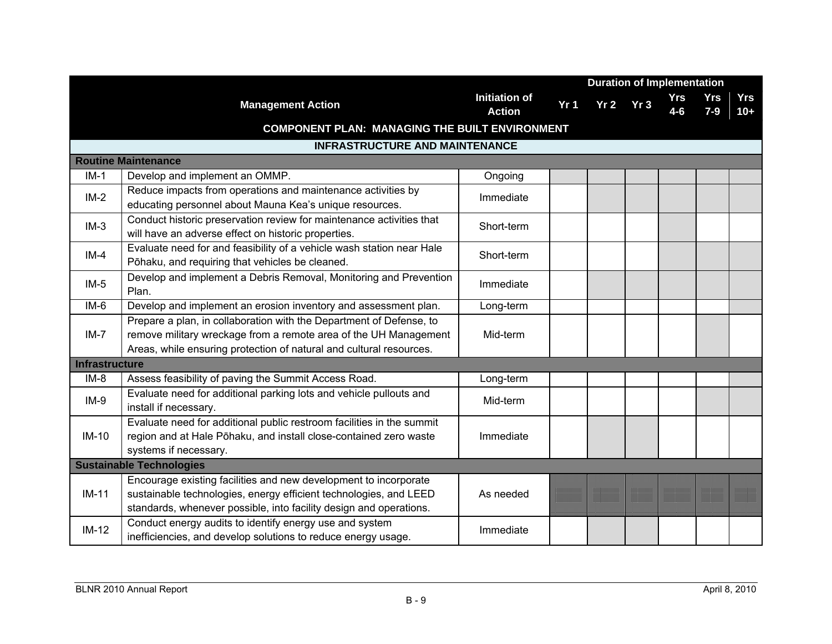|                       |                                                                                                                                                                                                             |                                       |                 | <b>Duration of Implementation</b> |     |                       |              |                      |
|-----------------------|-------------------------------------------------------------------------------------------------------------------------------------------------------------------------------------------------------------|---------------------------------------|-----------------|-----------------------------------|-----|-----------------------|--------------|----------------------|
|                       | <b>Management Action</b>                                                                                                                                                                                    | <b>Initiation of</b><br><b>Action</b> | Yr <sub>1</sub> | Yr <sub>2</sub>                   | Yr3 | <b>Yrs</b><br>$4 - 6$ | Yrs<br>$7-9$ | <b>Yrs</b><br>$10 +$ |
|                       | <b>COMPONENT PLAN: MANAGING THE BUILT ENVIRONMENT</b>                                                                                                                                                       |                                       |                 |                                   |     |                       |              |                      |
|                       | <b>INFRASTRUCTURE AND MAINTENANCE</b>                                                                                                                                                                       |                                       |                 |                                   |     |                       |              |                      |
|                       | <b>Routine Maintenance</b>                                                                                                                                                                                  |                                       |                 |                                   |     |                       |              |                      |
| $IM-1$                | Develop and implement an OMMP.                                                                                                                                                                              | Ongoing                               |                 |                                   |     |                       |              |                      |
| $IM-2$                | Reduce impacts from operations and maintenance activities by<br>educating personnel about Mauna Kea's unique resources.                                                                                     | Immediate                             |                 |                                   |     |                       |              |                      |
| $IM-3$                | Conduct historic preservation review for maintenance activities that<br>will have an adverse effect on historic properties.                                                                                 | Short-term                            |                 |                                   |     |                       |              |                      |
| $IM-4$                | Evaluate need for and feasibility of a vehicle wash station near Hale<br>Pōhaku, and requiring that vehicles be cleaned.                                                                                    | Short-term                            |                 |                                   |     |                       |              |                      |
| $IM-5$                | Develop and implement a Debris Removal, Monitoring and Prevention<br>Plan.                                                                                                                                  | Immediate                             |                 |                                   |     |                       |              |                      |
| $IM-6$                | Develop and implement an erosion inventory and assessment plan.                                                                                                                                             | Long-term                             |                 |                                   |     |                       |              |                      |
|                       | Prepare a plan, in collaboration with the Department of Defense, to                                                                                                                                         |                                       |                 |                                   |     |                       |              |                      |
| $IM-7$                | remove military wreckage from a remote area of the UH Management                                                                                                                                            | Mid-term                              |                 |                                   |     |                       |              |                      |
|                       | Areas, while ensuring protection of natural and cultural resources.                                                                                                                                         |                                       |                 |                                   |     |                       |              |                      |
| <b>Infrastructure</b> |                                                                                                                                                                                                             |                                       |                 |                                   |     |                       |              |                      |
| $IM-8$                | Assess feasibility of paving the Summit Access Road.                                                                                                                                                        | Long-term                             |                 |                                   |     |                       |              |                      |
| $IM-9$                | Evaluate need for additional parking lots and vehicle pullouts and<br>install if necessary.                                                                                                                 | Mid-term                              |                 |                                   |     |                       |              |                      |
| $IM-10$               | Evaluate need for additional public restroom facilities in the summit<br>region and at Hale Pōhaku, and install close-contained zero waste<br>systems if necessary.                                         | Immediate                             |                 |                                   |     |                       |              |                      |
|                       | <b>Sustainable Technologies</b>                                                                                                                                                                             |                                       |                 |                                   |     |                       |              |                      |
| $IM-11$               | Encourage existing facilities and new development to incorporate<br>sustainable technologies, energy efficient technologies, and LEED<br>standards, whenever possible, into facility design and operations. | As needed                             |                 |                                   |     |                       |              |                      |
| $IM-12$               | Conduct energy audits to identify energy use and system<br>inefficiencies, and develop solutions to reduce energy usage.                                                                                    | Immediate                             |                 |                                   |     |                       |              |                      |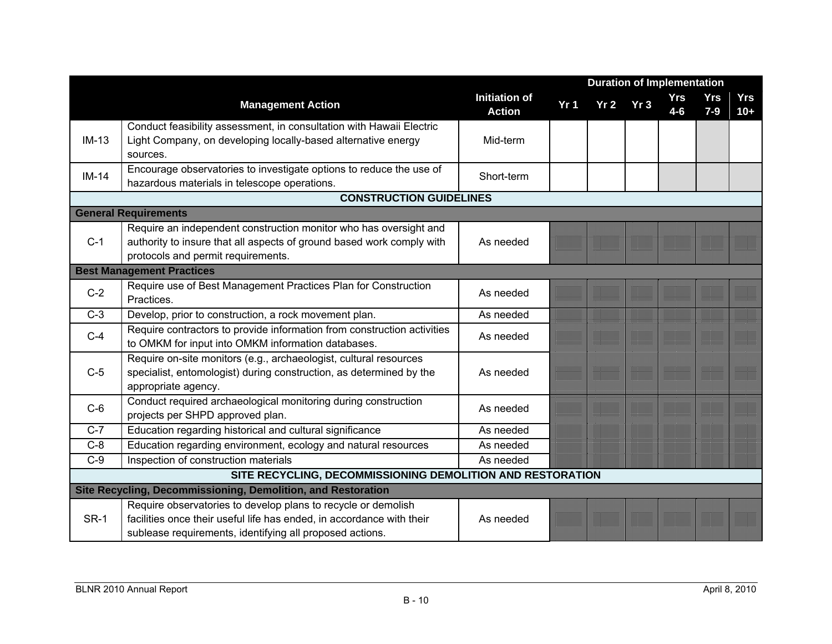|             |                                                                           |                                       |                 |                 |                 | <b>Duration of Implementation</b> |              |                     |
|-------------|---------------------------------------------------------------------------|---------------------------------------|-----------------|-----------------|-----------------|-----------------------------------|--------------|---------------------|
|             | <b>Management Action</b>                                                  | <b>Initiation of</b><br><b>Action</b> | Yr <sub>1</sub> | Yr <sub>2</sub> | Yr <sub>3</sub> | <b>Yrs</b><br>$4 - 6$             | Yrs<br>$7-9$ | <b>Yrs</b><br>$10+$ |
|             | Conduct feasibility assessment, in consultation with Hawaii Electric      |                                       |                 |                 |                 |                                   |              |                     |
| $IM-13$     | Light Company, on developing locally-based alternative energy<br>sources. | Mid-term                              |                 |                 |                 |                                   |              |                     |
| $IM-14$     | Encourage observatories to investigate options to reduce the use of       | Short-term                            |                 |                 |                 |                                   |              |                     |
|             | hazardous materials in telescope operations.                              |                                       |                 |                 |                 |                                   |              |                     |
|             | <b>CONSTRUCTION GUIDELINES</b>                                            |                                       |                 |                 |                 |                                   |              |                     |
|             | <b>General Requirements</b>                                               |                                       |                 |                 |                 |                                   |              |                     |
|             | Require an independent construction monitor who has oversight and         |                                       |                 |                 |                 |                                   |              |                     |
| $C-1$       | authority to insure that all aspects of ground based work comply with     | As needed                             |                 |                 |                 |                                   |              |                     |
|             | protocols and permit requirements.                                        |                                       |                 |                 |                 |                                   |              |                     |
|             | <b>Best Management Practices</b>                                          |                                       |                 |                 |                 |                                   |              |                     |
| $C-2$       | Require use of Best Management Practices Plan for Construction            | As needed                             |                 |                 |                 |                                   |              |                     |
|             | Practices.                                                                |                                       |                 |                 |                 |                                   |              |                     |
| $C-3$       | Develop, prior to construction, a rock movement plan.                     | As needed                             |                 |                 |                 |                                   |              |                     |
| $C-4$       | Require contractors to provide information from construction activities   | As needed                             |                 |                 |                 |                                   |              |                     |
|             | to OMKM for input into OMKM information databases.                        |                                       |                 |                 |                 |                                   |              |                     |
|             | Require on-site monitors (e.g., archaeologist, cultural resources         |                                       |                 |                 |                 |                                   |              |                     |
| $C-5$       | specialist, entomologist) during construction, as determined by the       | As needed                             |                 |                 |                 |                                   |              |                     |
|             | appropriate agency.                                                       |                                       |                 |                 |                 |                                   |              |                     |
| $C-6$       | Conduct required archaeological monitoring during construction            | As needed                             |                 |                 |                 |                                   |              |                     |
|             | projects per SHPD approved plan.                                          |                                       |                 |                 |                 |                                   |              |                     |
| $C-7$       | Education regarding historical and cultural significance                  | As needed                             |                 |                 |                 |                                   |              |                     |
| $C-8$       | Education regarding environment, ecology and natural resources            | As needed                             |                 |                 |                 |                                   |              |                     |
| $C-9$       | Inspection of construction materials                                      | As needed                             |                 |                 |                 |                                   |              |                     |
|             | SITE RECYCLING, DECOMMISSIONING DEMOLITION AND RESTORATION                |                                       |                 |                 |                 |                                   |              |                     |
|             | Site Recycling, Decommissioning, Demolition, and Restoration              |                                       |                 |                 |                 |                                   |              |                     |
|             | Require observatories to develop plans to recycle or demolish             |                                       |                 |                 |                 |                                   |              |                     |
| <b>SR-1</b> | facilities once their useful life has ended, in accordance with their     | As needed                             |                 |                 |                 |                                   |              |                     |
|             | sublease requirements, identifying all proposed actions.                  |                                       |                 |                 |                 |                                   |              |                     |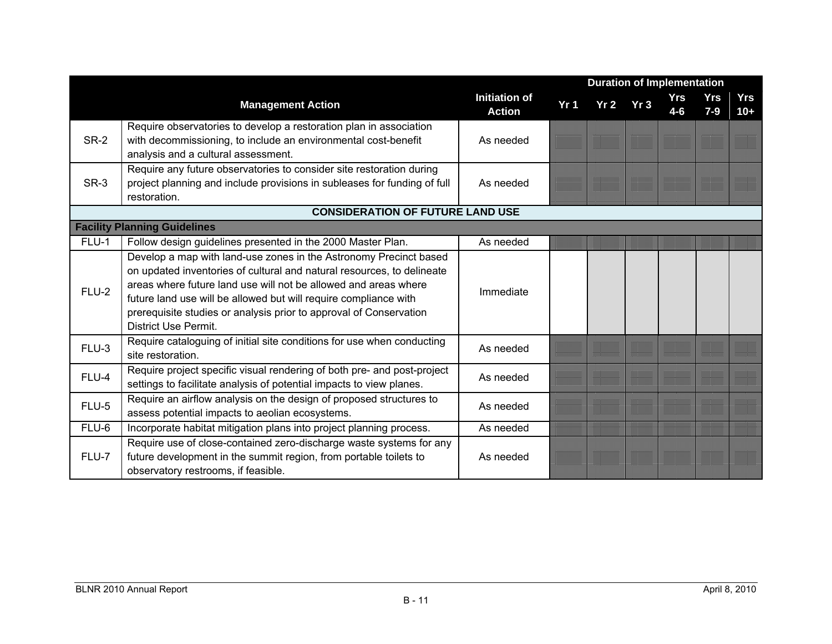|             |                                                                                                                                                                                                                                                                                                                                                                                         |                                       |                 | <b>Duration of Implementation</b> |     |                |                |              |
|-------------|-----------------------------------------------------------------------------------------------------------------------------------------------------------------------------------------------------------------------------------------------------------------------------------------------------------------------------------------------------------------------------------------|---------------------------------------|-----------------|-----------------------------------|-----|----------------|----------------|--------------|
|             | <b>Management Action</b>                                                                                                                                                                                                                                                                                                                                                                | <b>Initiation of</b><br><b>Action</b> | Yr <sub>1</sub> | Yr <sub>2</sub>                   | Yr3 | Yrs<br>$4 - 6$ | Yrs<br>$7 - 9$ | Yrs<br>$10+$ |
| <b>SR-2</b> | Require observatories to develop a restoration plan in association<br>with decommissioning, to include an environmental cost-benefit<br>analysis and a cultural assessment.                                                                                                                                                                                                             | As needed                             |                 |                                   |     |                |                |              |
| SR-3        | Require any future observatories to consider site restoration during<br>project planning and include provisions in subleases for funding of full<br>restoration.                                                                                                                                                                                                                        | As needed                             |                 |                                   |     |                |                |              |
|             | <b>CONSIDERATION OF FUTURE LAND USE</b>                                                                                                                                                                                                                                                                                                                                                 |                                       |                 |                                   |     |                |                |              |
|             | <b>Facility Planning Guidelines</b>                                                                                                                                                                                                                                                                                                                                                     |                                       |                 |                                   |     |                |                |              |
| FLU-1       | Follow design guidelines presented in the 2000 Master Plan.                                                                                                                                                                                                                                                                                                                             | As needed                             |                 |                                   |     |                |                |              |
| FLU-2       | Develop a map with land-use zones in the Astronomy Precinct based<br>on updated inventories of cultural and natural resources, to delineate<br>areas where future land use will not be allowed and areas where<br>future land use will be allowed but will require compliance with<br>prerequisite studies or analysis prior to approval of Conservation<br><b>District Use Permit.</b> | Immediate                             |                 |                                   |     |                |                |              |
| FLU-3       | Require cataloguing of initial site conditions for use when conducting<br>site restoration.                                                                                                                                                                                                                                                                                             | As needed                             |                 |                                   |     |                |                |              |
| FLU-4       | Require project specific visual rendering of both pre- and post-project<br>settings to facilitate analysis of potential impacts to view planes.                                                                                                                                                                                                                                         | As needed                             |                 |                                   |     |                |                |              |
| FLU-5       | Require an airflow analysis on the design of proposed structures to<br>assess potential impacts to aeolian ecosystems.                                                                                                                                                                                                                                                                  | As needed                             |                 |                                   |     |                |                |              |
| FLU-6       | Incorporate habitat mitigation plans into project planning process.                                                                                                                                                                                                                                                                                                                     | As needed                             |                 |                                   |     |                |                |              |
| FLU-7       | Require use of close-contained zero-discharge waste systems for any<br>future development in the summit region, from portable toilets to<br>observatory restrooms, if feasible.                                                                                                                                                                                                         | As needed                             |                 |                                   |     |                |                |              |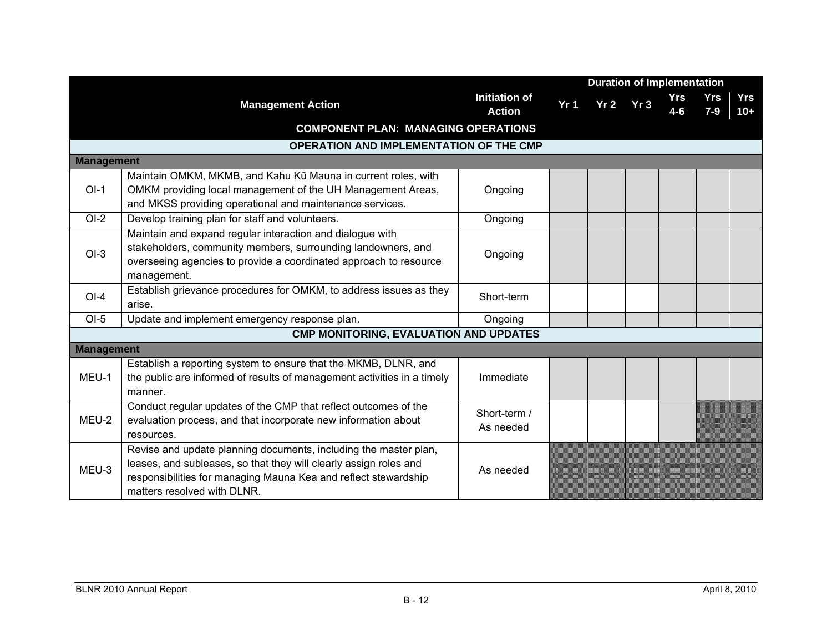|                   |                                                                                                                                                                                                                                         |                                       |                 | <b>Duration of Implementation</b> |                 |                   |                |              |
|-------------------|-----------------------------------------------------------------------------------------------------------------------------------------------------------------------------------------------------------------------------------------|---------------------------------------|-----------------|-----------------------------------|-----------------|-------------------|----------------|--------------|
|                   | <b>Management Action</b>                                                                                                                                                                                                                | <b>Initiation of</b><br><b>Action</b> | Yr <sub>1</sub> | Yr2                               | Yr <sub>3</sub> | <b>Yrs</b><br>4-6 | Yrs<br>$7 - 9$ | Yrs<br>$10+$ |
|                   | <b>COMPONENT PLAN: MANAGING OPERATIONS</b>                                                                                                                                                                                              |                                       |                 |                                   |                 |                   |                |              |
|                   | OPERATION AND IMPLEMENTATION OF THE CMP                                                                                                                                                                                                 |                                       |                 |                                   |                 |                   |                |              |
| <b>Management</b> |                                                                                                                                                                                                                                         |                                       |                 |                                   |                 |                   |                |              |
| $OI-1$            | Maintain OMKM, MKMB, and Kahu Kū Mauna in current roles, with<br>OMKM providing local management of the UH Management Areas,<br>and MKSS providing operational and maintenance services.                                                | Ongoing                               |                 |                                   |                 |                   |                |              |
| $O1-2$            | Develop training plan for staff and volunteers.                                                                                                                                                                                         | Ongoing                               |                 |                                   |                 |                   |                |              |
| $OI-3$            | Maintain and expand regular interaction and dialogue with<br>stakeholders, community members, surrounding landowners, and<br>overseeing agencies to provide a coordinated approach to resource<br>management.                           | Ongoing                               |                 |                                   |                 |                   |                |              |
| $OI-4$            | Establish grievance procedures for OMKM, to address issues as they<br>arise.                                                                                                                                                            | Short-term                            |                 |                                   |                 |                   |                |              |
| $OI-5$            | Update and implement emergency response plan.                                                                                                                                                                                           | Ongoing                               |                 |                                   |                 |                   |                |              |
|                   | <b>CMP MONITORING, EVALUATION AND UPDATES</b>                                                                                                                                                                                           |                                       |                 |                                   |                 |                   |                |              |
| <b>Management</b> |                                                                                                                                                                                                                                         |                                       |                 |                                   |                 |                   |                |              |
| MEU-1             | Establish a reporting system to ensure that the MKMB, DLNR, and<br>the public are informed of results of management activities in a timely<br>manner.                                                                                   | Immediate                             |                 |                                   |                 |                   |                |              |
| MEU-2             | Conduct regular updates of the CMP that reflect outcomes of the<br>evaluation process, and that incorporate new information about<br>resources.                                                                                         | Short-term /<br>As needed             |                 |                                   |                 |                   |                |              |
| MEU-3             | Revise and update planning documents, including the master plan,<br>leases, and subleases, so that they will clearly assign roles and<br>responsibilities for managing Mauna Kea and reflect stewardship<br>matters resolved with DLNR. | As needed                             |                 |                                   |                 |                   |                |              |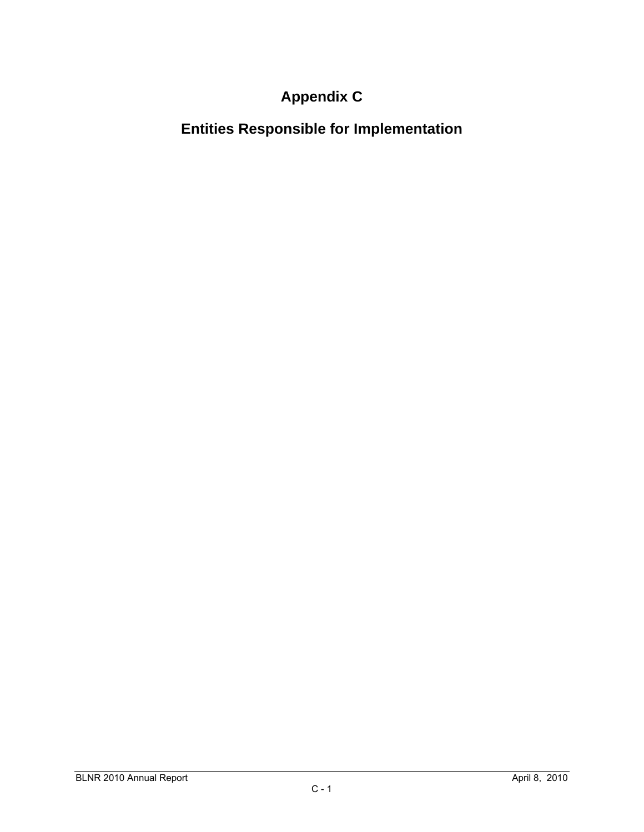# **Appendix C**

**Entities Responsible for Implementation**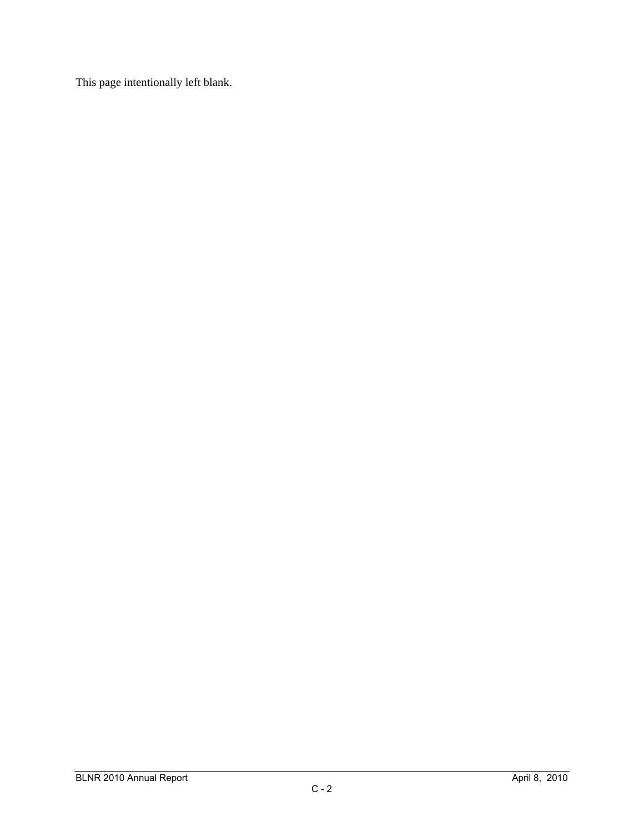This page intentionally left blank.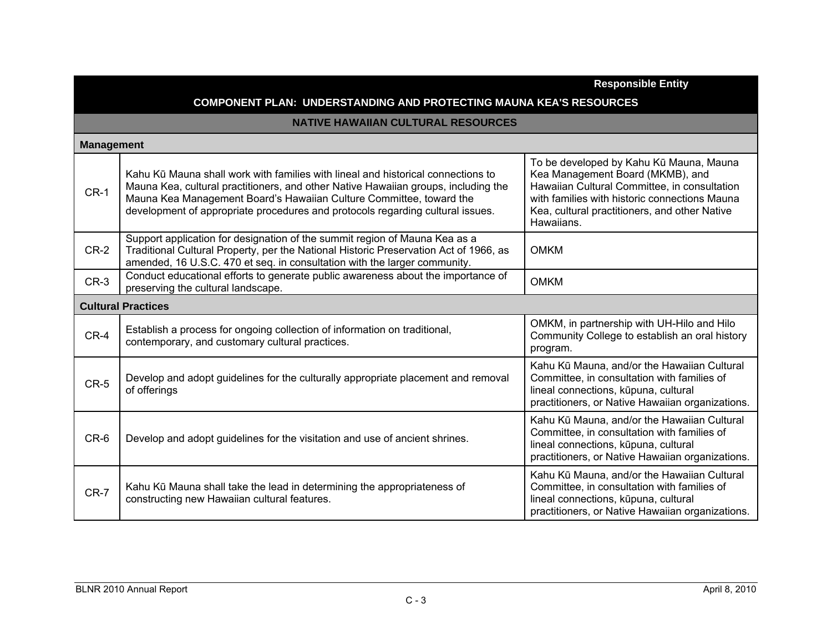|        | <b>Responsible Entity</b>                                                                                                                                                                                                                                                                                                       |                                                                                                                                                                                                                                             |  |  |  |  |  |  |  |  |
|--------|---------------------------------------------------------------------------------------------------------------------------------------------------------------------------------------------------------------------------------------------------------------------------------------------------------------------------------|---------------------------------------------------------------------------------------------------------------------------------------------------------------------------------------------------------------------------------------------|--|--|--|--|--|--|--|--|
|        | <b>COMPONENT PLAN: UNDERSTANDING AND PROTECTING MAUNA KEA'S RESOURCES</b>                                                                                                                                                                                                                                                       |                                                                                                                                                                                                                                             |  |  |  |  |  |  |  |  |
|        | <b>NATIVE HAWAIIAN CULTURAL RESOURCES</b>                                                                                                                                                                                                                                                                                       |                                                                                                                                                                                                                                             |  |  |  |  |  |  |  |  |
|        | <b>Management</b>                                                                                                                                                                                                                                                                                                               |                                                                                                                                                                                                                                             |  |  |  |  |  |  |  |  |
| $CR-1$ | Kahu Kū Mauna shall work with families with lineal and historical connections to<br>Mauna Kea, cultural practitioners, and other Native Hawaiian groups, including the<br>Mauna Kea Management Board's Hawaiian Culture Committee, toward the<br>development of appropriate procedures and protocols regarding cultural issues. | To be developed by Kahu Kū Mauna, Mauna<br>Kea Management Board (MKMB), and<br>Hawaiian Cultural Committee, in consultation<br>with families with historic connections Mauna<br>Kea, cultural practitioners, and other Native<br>Hawaiians. |  |  |  |  |  |  |  |  |
| $CR-2$ | Support application for designation of the summit region of Mauna Kea as a<br>Traditional Cultural Property, per the National Historic Preservation Act of 1966, as<br>amended, 16 U.S.C. 470 et seq. in consultation with the larger community.                                                                                | <b>OMKM</b>                                                                                                                                                                                                                                 |  |  |  |  |  |  |  |  |
| $CR-3$ | Conduct educational efforts to generate public awareness about the importance of<br>preserving the cultural landscape.                                                                                                                                                                                                          | <b>OMKM</b>                                                                                                                                                                                                                                 |  |  |  |  |  |  |  |  |
|        | <b>Cultural Practices</b>                                                                                                                                                                                                                                                                                                       |                                                                                                                                                                                                                                             |  |  |  |  |  |  |  |  |
| $CR-4$ | Establish a process for ongoing collection of information on traditional,<br>contemporary, and customary cultural practices.                                                                                                                                                                                                    | OMKM, in partnership with UH-Hilo and Hilo<br>Community College to establish an oral history<br>program.                                                                                                                                    |  |  |  |  |  |  |  |  |
| $CR-5$ | Develop and adopt guidelines for the culturally appropriate placement and removal<br>of offerings                                                                                                                                                                                                                               | Kahu Kū Mauna, and/or the Hawaiian Cultural<br>Committee, in consultation with families of<br>lineal connections, kūpuna, cultural<br>practitioners, or Native Hawaiian organizations.                                                      |  |  |  |  |  |  |  |  |
| CR-6   | Develop and adopt guidelines for the visitation and use of ancient shrines.                                                                                                                                                                                                                                                     | Kahu Kū Mauna, and/or the Hawaiian Cultural<br>Committee, in consultation with families of<br>lineal connections, kūpuna, cultural<br>practitioners, or Native Hawaiian organizations.                                                      |  |  |  |  |  |  |  |  |
| $CR-7$ | Kahu Kū Mauna shall take the lead in determining the appropriateness of<br>constructing new Hawaiian cultural features.                                                                                                                                                                                                         | Kahu Kū Mauna, and/or the Hawaiian Cultural<br>Committee, in consultation with families of<br>lineal connections, kūpuna, cultural<br>practitioners, or Native Hawaiian organizations.                                                      |  |  |  |  |  |  |  |  |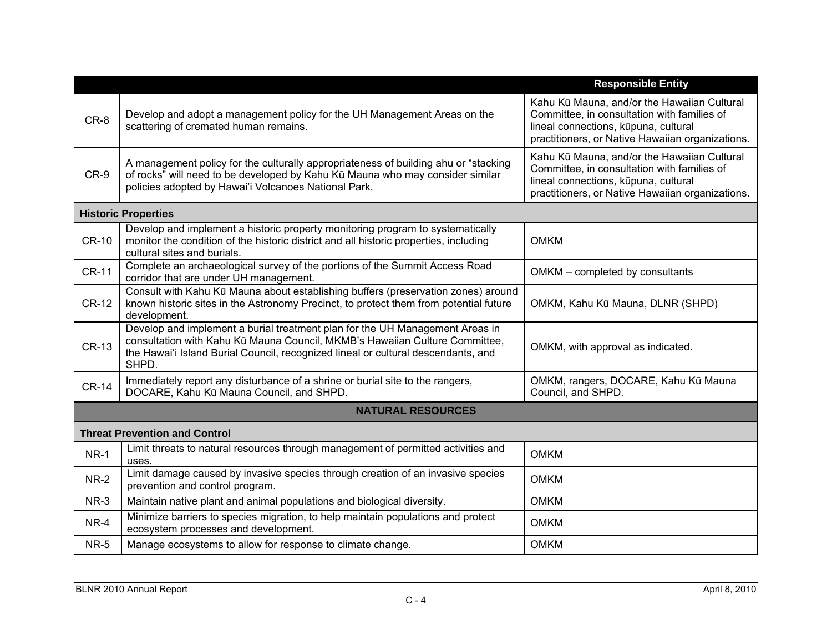|              |                                                                                                                                                                                                                                                           | <b>Responsible Entity</b>                                                                                                                                                              |
|--------------|-----------------------------------------------------------------------------------------------------------------------------------------------------------------------------------------------------------------------------------------------------------|----------------------------------------------------------------------------------------------------------------------------------------------------------------------------------------|
| CR-8         | Develop and adopt a management policy for the UH Management Areas on the<br>scattering of cremated human remains.                                                                                                                                         | Kahu Kū Mauna, and/or the Hawaiian Cultural<br>Committee, in consultation with families of<br>lineal connections, kūpuna, cultural<br>practitioners, or Native Hawaiian organizations. |
| CR-9         | A management policy for the culturally appropriateness of building ahu or "stacking<br>of rocks" will need to be developed by Kahu Kū Mauna who may consider similar<br>policies adopted by Hawai'i Volcanoes National Park.                              | Kahu Kū Mauna, and/or the Hawaiian Cultural<br>Committee, in consultation with families of<br>lineal connections, kūpuna, cultural<br>practitioners, or Native Hawaiian organizations. |
|              | <b>Historic Properties</b>                                                                                                                                                                                                                                |                                                                                                                                                                                        |
| <b>CR-10</b> | Develop and implement a historic property monitoring program to systematically<br>monitor the condition of the historic district and all historic properties, including<br>cultural sites and burials.                                                    | <b>OMKM</b>                                                                                                                                                                            |
| <b>CR-11</b> | Complete an archaeological survey of the portions of the Summit Access Road<br>corridor that are under UH management.                                                                                                                                     | OMKM - completed by consultants                                                                                                                                                        |
| <b>CR-12</b> | Consult with Kahu Kū Mauna about establishing buffers (preservation zones) around<br>known historic sites in the Astronomy Precinct, to protect them from potential future<br>development.                                                                | OMKM, Kahu Kū Mauna, DLNR (SHPD)                                                                                                                                                       |
| <b>CR-13</b> | Develop and implement a burial treatment plan for the UH Management Areas in<br>consultation with Kahu Kū Mauna Council, MKMB's Hawaiian Culture Committee,<br>the Hawai'i Island Burial Council, recognized lineal or cultural descendants, and<br>SHPD. | OMKM, with approval as indicated.                                                                                                                                                      |
| <b>CR-14</b> | Immediately report any disturbance of a shrine or burial site to the rangers,<br>DOCARE, Kahu Kū Mauna Council, and SHPD.                                                                                                                                 | OMKM, rangers, DOCARE, Kahu Kū Mauna<br>Council, and SHPD.                                                                                                                             |
|              | <b>NATURAL RESOURCES</b>                                                                                                                                                                                                                                  |                                                                                                                                                                                        |
|              | <b>Threat Prevention and Control</b>                                                                                                                                                                                                                      |                                                                                                                                                                                        |
| <b>NR-1</b>  | Limit threats to natural resources through management of permitted activities and<br>uses.                                                                                                                                                                | <b>OMKM</b>                                                                                                                                                                            |
| <b>NR-2</b>  | Limit damage caused by invasive species through creation of an invasive species<br>prevention and control program.                                                                                                                                        | <b>OMKM</b>                                                                                                                                                                            |
| $NR-3$       | Maintain native plant and animal populations and biological diversity.                                                                                                                                                                                    | <b>OMKM</b>                                                                                                                                                                            |
| NR-4         | Minimize barriers to species migration, to help maintain populations and protect<br>ecosystem processes and development.                                                                                                                                  | <b>OMKM</b>                                                                                                                                                                            |
| <b>NR-5</b>  | Manage ecosystems to allow for response to climate change.                                                                                                                                                                                                | <b>OMKM</b>                                                                                                                                                                            |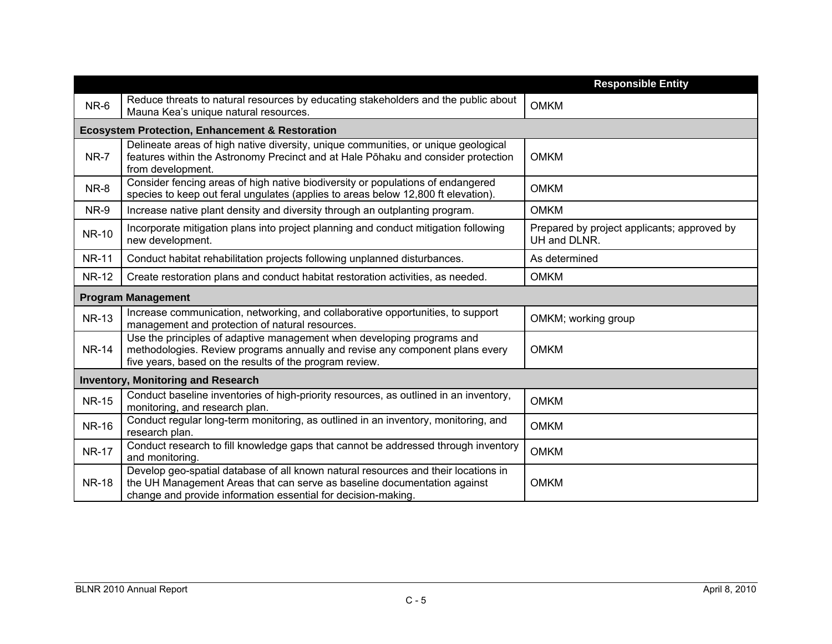|              |                                                                                                                                                                                                                                 | <b>Responsible Entity</b>                                   |
|--------------|---------------------------------------------------------------------------------------------------------------------------------------------------------------------------------------------------------------------------------|-------------------------------------------------------------|
| NR-6         | Reduce threats to natural resources by educating stakeholders and the public about<br>Mauna Kea's unique natural resources.                                                                                                     | <b>OMKM</b>                                                 |
|              | <b>Ecosystem Protection, Enhancement &amp; Restoration</b>                                                                                                                                                                      |                                                             |
| <b>NR-7</b>  | Delineate areas of high native diversity, unique communities, or unique geological<br>features within the Astronomy Precinct and at Hale Pōhaku and consider protection<br>from development.                                    | <b>OMKM</b>                                                 |
| NR-8         | Consider fencing areas of high native biodiversity or populations of endangered<br>species to keep out feral ungulates (applies to areas below 12,800 ft elevation).                                                            | <b>OMKM</b>                                                 |
| NR-9         | Increase native plant density and diversity through an outplanting program.                                                                                                                                                     | <b>OMKM</b>                                                 |
| <b>NR-10</b> | Incorporate mitigation plans into project planning and conduct mitigation following<br>new development.                                                                                                                         | Prepared by project applicants; approved by<br>UH and DLNR. |
| <b>NR-11</b> | Conduct habitat rehabilitation projects following unplanned disturbances.                                                                                                                                                       | As determined                                               |
| <b>NR-12</b> | Create restoration plans and conduct habitat restoration activities, as needed.                                                                                                                                                 | <b>OMKM</b>                                                 |
|              | <b>Program Management</b>                                                                                                                                                                                                       |                                                             |
| <b>NR-13</b> | Increase communication, networking, and collaborative opportunities, to support<br>management and protection of natural resources.                                                                                              | OMKM; working group                                         |
| <b>NR-14</b> | Use the principles of adaptive management when developing programs and<br>methodologies. Review programs annually and revise any component plans every<br>five years, based on the results of the program review.               | <b>OMKM</b>                                                 |
|              | <b>Inventory, Monitoring and Research</b>                                                                                                                                                                                       |                                                             |
| <b>NR-15</b> | Conduct baseline inventories of high-priority resources, as outlined in an inventory,<br>monitoring, and research plan.                                                                                                         | <b>OMKM</b>                                                 |
| <b>NR-16</b> | Conduct regular long-term monitoring, as outlined in an inventory, monitoring, and<br>research plan.                                                                                                                            | <b>OMKM</b>                                                 |
| <b>NR-17</b> | Conduct research to fill knowledge gaps that cannot be addressed through inventory<br>and monitoring.                                                                                                                           | <b>OMKM</b>                                                 |
| <b>NR-18</b> | Develop geo-spatial database of all known natural resources and their locations in<br>the UH Management Areas that can serve as baseline documentation against<br>change and provide information essential for decision-making. | <b>OMKM</b>                                                 |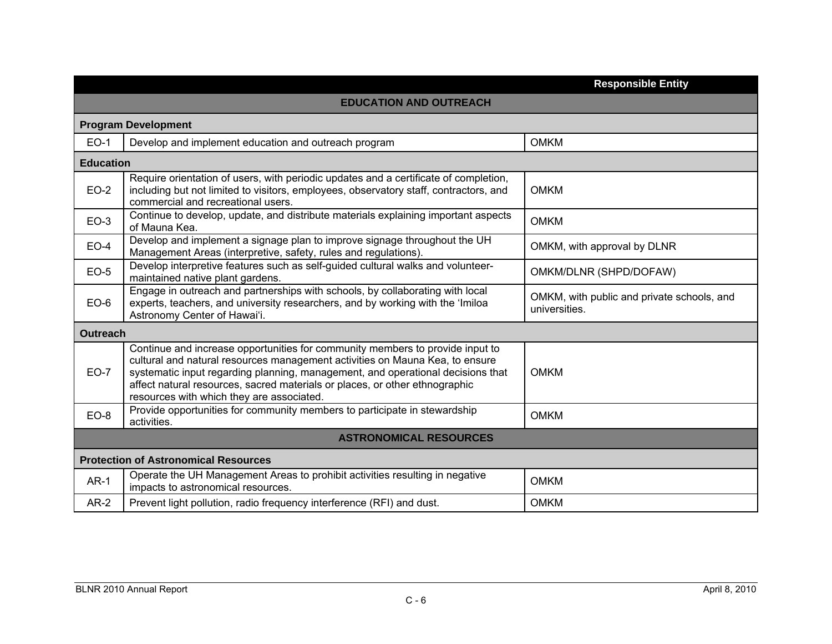|                  |                                                                                                                                                                                                                                                                                                                                                                              | <b>Responsible Entity</b>                                   |  |  |  |  |  |
|------------------|------------------------------------------------------------------------------------------------------------------------------------------------------------------------------------------------------------------------------------------------------------------------------------------------------------------------------------------------------------------------------|-------------------------------------------------------------|--|--|--|--|--|
|                  | <b>EDUCATION AND OUTREACH</b>                                                                                                                                                                                                                                                                                                                                                |                                                             |  |  |  |  |  |
|                  | <b>Program Development</b>                                                                                                                                                                                                                                                                                                                                                   |                                                             |  |  |  |  |  |
| $EO-1$           | Develop and implement education and outreach program                                                                                                                                                                                                                                                                                                                         | <b>OMKM</b>                                                 |  |  |  |  |  |
| <b>Education</b> |                                                                                                                                                                                                                                                                                                                                                                              |                                                             |  |  |  |  |  |
| $EO-2$           | Require orientation of users, with periodic updates and a certificate of completion,<br>including but not limited to visitors, employees, observatory staff, contractors, and<br>commercial and recreational users.                                                                                                                                                          | <b>OMKM</b>                                                 |  |  |  |  |  |
| $EO-3$           | Continue to develop, update, and distribute materials explaining important aspects<br>of Mauna Kea.                                                                                                                                                                                                                                                                          | <b>OMKM</b>                                                 |  |  |  |  |  |
| $EO-4$           | Develop and implement a signage plan to improve signage throughout the UH<br>Management Areas (interpretive, safety, rules and regulations).                                                                                                                                                                                                                                 | OMKM, with approval by DLNR                                 |  |  |  |  |  |
| $EO-5$           | Develop interpretive features such as self-guided cultural walks and volunteer-<br>maintained native plant gardens.                                                                                                                                                                                                                                                          | OMKM/DLNR (SHPD/DOFAW)                                      |  |  |  |  |  |
| $EO-6$           | Engage in outreach and partnerships with schools, by collaborating with local<br>experts, teachers, and university researchers, and by working with the 'Imiloa<br>Astronomy Center of Hawai'i.                                                                                                                                                                              | OMKM, with public and private schools, and<br>universities. |  |  |  |  |  |
| <b>Outreach</b>  |                                                                                                                                                                                                                                                                                                                                                                              |                                                             |  |  |  |  |  |
| $EO-7$           | Continue and increase opportunities for community members to provide input to<br>cultural and natural resources management activities on Mauna Kea, to ensure<br>systematic input regarding planning, management, and operational decisions that<br>affect natural resources, sacred materials or places, or other ethnographic<br>resources with which they are associated. | <b>OMKM</b>                                                 |  |  |  |  |  |
| $EO-8$           | Provide opportunities for community members to participate in stewardship<br>activities.                                                                                                                                                                                                                                                                                     | <b>OMKM</b>                                                 |  |  |  |  |  |
|                  | <b>ASTRONOMICAL RESOURCES</b>                                                                                                                                                                                                                                                                                                                                                |                                                             |  |  |  |  |  |
|                  | <b>Protection of Astronomical Resources</b>                                                                                                                                                                                                                                                                                                                                  |                                                             |  |  |  |  |  |
| $AR-1$           | Operate the UH Management Areas to prohibit activities resulting in negative<br>impacts to astronomical resources.                                                                                                                                                                                                                                                           | <b>OMKM</b>                                                 |  |  |  |  |  |
| $AR-2$           | Prevent light pollution, radio frequency interference (RFI) and dust.                                                                                                                                                                                                                                                                                                        | <b>OMKM</b>                                                 |  |  |  |  |  |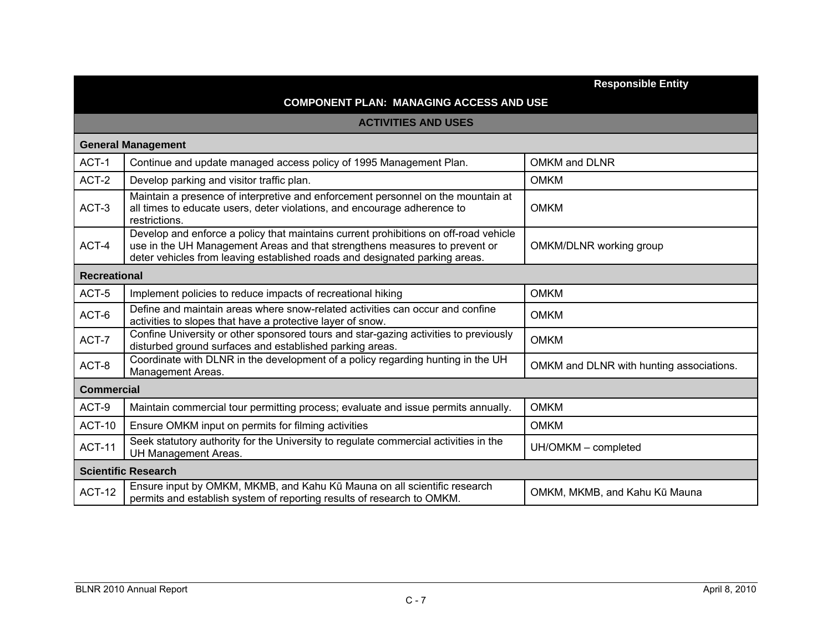|                     | <b>Responsible Entity</b>                                                                                                                                                                                                                         |                                          |  |  |  |  |  |  |  |
|---------------------|---------------------------------------------------------------------------------------------------------------------------------------------------------------------------------------------------------------------------------------------------|------------------------------------------|--|--|--|--|--|--|--|
|                     | <b>COMPONENT PLAN: MANAGING ACCESS AND USE</b>                                                                                                                                                                                                    |                                          |  |  |  |  |  |  |  |
|                     | <b>ACTIVITIES AND USES</b>                                                                                                                                                                                                                        |                                          |  |  |  |  |  |  |  |
|                     | <b>General Management</b>                                                                                                                                                                                                                         |                                          |  |  |  |  |  |  |  |
| ACT-1               | Continue and update managed access policy of 1995 Management Plan.                                                                                                                                                                                | OMKM and DLNR                            |  |  |  |  |  |  |  |
| ACT-2               | Develop parking and visitor traffic plan.                                                                                                                                                                                                         | <b>OMKM</b>                              |  |  |  |  |  |  |  |
| ACT-3               | Maintain a presence of interpretive and enforcement personnel on the mountain at<br>all times to educate users, deter violations, and encourage adherence to<br>restrictions.                                                                     | <b>OMKM</b>                              |  |  |  |  |  |  |  |
| ACT-4               | Develop and enforce a policy that maintains current prohibitions on off-road vehicle<br>use in the UH Management Areas and that strengthens measures to prevent or<br>deter vehicles from leaving established roads and designated parking areas. | OMKM/DLNR working group                  |  |  |  |  |  |  |  |
| <b>Recreational</b> |                                                                                                                                                                                                                                                   |                                          |  |  |  |  |  |  |  |
| ACT-5               | Implement policies to reduce impacts of recreational hiking                                                                                                                                                                                       | <b>OMKM</b>                              |  |  |  |  |  |  |  |
| ACT-6               | Define and maintain areas where snow-related activities can occur and confine<br>activities to slopes that have a protective layer of snow.                                                                                                       | <b>OMKM</b>                              |  |  |  |  |  |  |  |
| ACT-7               | Confine University or other sponsored tours and star-gazing activities to previously<br>disturbed ground surfaces and established parking areas.                                                                                                  | <b>OMKM</b>                              |  |  |  |  |  |  |  |
| ACT-8               | Coordinate with DLNR in the development of a policy regarding hunting in the UH<br>Management Areas.                                                                                                                                              | OMKM and DLNR with hunting associations. |  |  |  |  |  |  |  |
| <b>Commercial</b>   |                                                                                                                                                                                                                                                   |                                          |  |  |  |  |  |  |  |
| ACT-9               | Maintain commercial tour permitting process; evaluate and issue permits annually.                                                                                                                                                                 | <b>OMKM</b>                              |  |  |  |  |  |  |  |
| <b>ACT-10</b>       | Ensure OMKM input on permits for filming activities                                                                                                                                                                                               | <b>OMKM</b>                              |  |  |  |  |  |  |  |
| <b>ACT-11</b>       | Seek statutory authority for the University to regulate commercial activities in the<br>UH Management Areas.                                                                                                                                      | UH/OMKM - completed                      |  |  |  |  |  |  |  |
|                     | <b>Scientific Research</b>                                                                                                                                                                                                                        |                                          |  |  |  |  |  |  |  |
| <b>ACT-12</b>       | Ensure input by OMKM, MKMB, and Kahu Kū Mauna on all scientific research<br>permits and establish system of reporting results of research to OMKM.                                                                                                | OMKM, MKMB, and Kahu Kū Mauna            |  |  |  |  |  |  |  |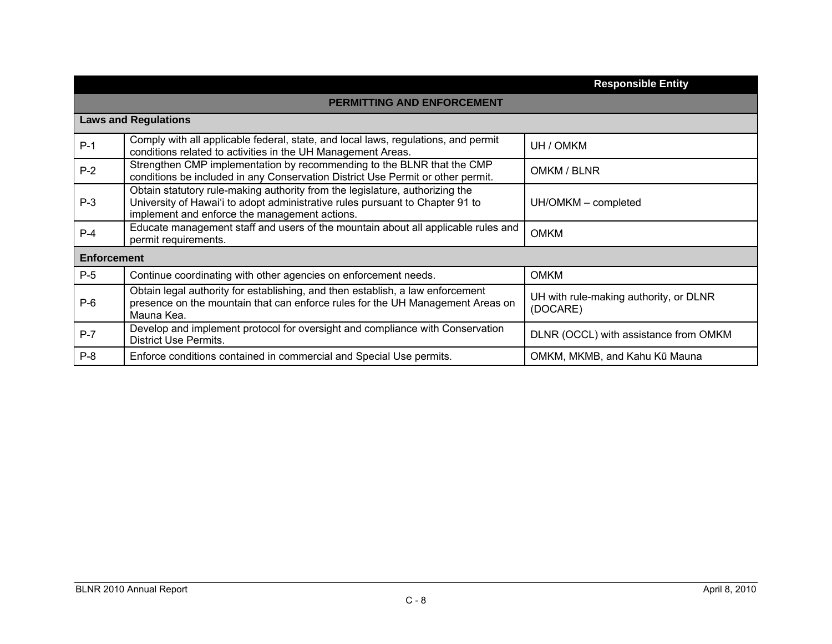|                    |                                                                                                                                                                                                                | <b>Responsible Entity</b>                          |  |  |  |  |  |  |
|--------------------|----------------------------------------------------------------------------------------------------------------------------------------------------------------------------------------------------------------|----------------------------------------------------|--|--|--|--|--|--|
|                    | PERMITTING AND ENFORCEMENT                                                                                                                                                                                     |                                                    |  |  |  |  |  |  |
|                    | <b>Laws and Regulations</b>                                                                                                                                                                                    |                                                    |  |  |  |  |  |  |
| $P-1$              | Comply with all applicable federal, state, and local laws, regulations, and permit<br>conditions related to activities in the UH Management Areas.                                                             | UH / OMKM                                          |  |  |  |  |  |  |
| $P-2$              | Strengthen CMP implementation by recommending to the BLNR that the CMP<br>conditions be included in any Conservation District Use Permit or other permit.                                                      | OMKM / BLNR                                        |  |  |  |  |  |  |
| $P-3$              | Obtain statutory rule-making authority from the legislature, authorizing the<br>University of Hawai'i to adopt administrative rules pursuant to Chapter 91 to<br>implement and enforce the management actions. | UH/OMKM - completed                                |  |  |  |  |  |  |
| $P-4$              | Educate management staff and users of the mountain about all applicable rules and<br>permit requirements.                                                                                                      | <b>OMKM</b>                                        |  |  |  |  |  |  |
| <b>Enforcement</b> |                                                                                                                                                                                                                |                                                    |  |  |  |  |  |  |
| $P-5$              | Continue coordinating with other agencies on enforcement needs.                                                                                                                                                | <b>OMKM</b>                                        |  |  |  |  |  |  |
| $P-6$              | Obtain legal authority for establishing, and then establish, a law enforcement<br>presence on the mountain that can enforce rules for the UH Management Areas on<br>Mauna Kea.                                 | UH with rule-making authority, or DLNR<br>(DOCARE) |  |  |  |  |  |  |
| $P-7$              | Develop and implement protocol for oversight and compliance with Conservation<br><b>District Use Permits.</b>                                                                                                  | DLNR (OCCL) with assistance from OMKM              |  |  |  |  |  |  |
| $P-8$              | Enforce conditions contained in commercial and Special Use permits.                                                                                                                                            | OMKM, MKMB, and Kahu Kū Mauna                      |  |  |  |  |  |  |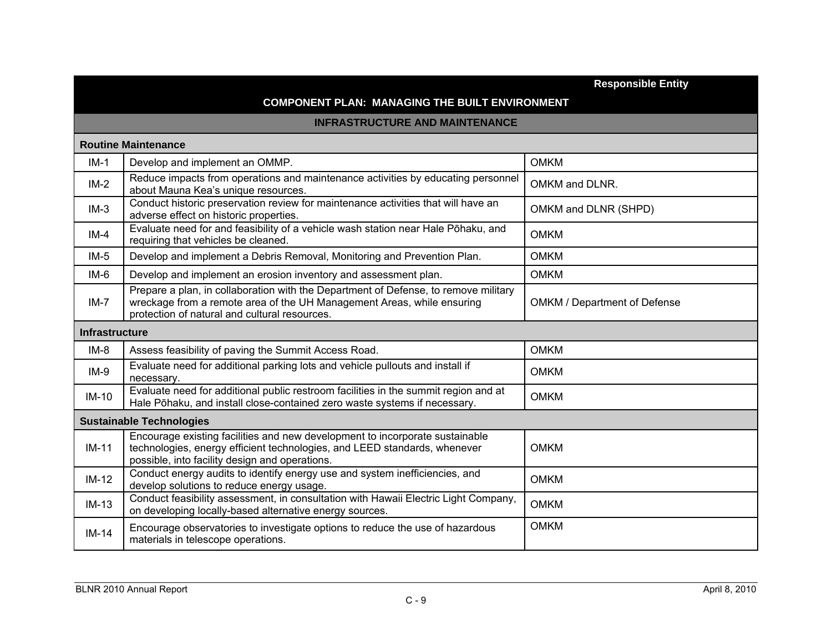|                                                       |                                                                                                                                                                                                                | <b>Responsible Entity</b>    |  |  |
|-------------------------------------------------------|----------------------------------------------------------------------------------------------------------------------------------------------------------------------------------------------------------------|------------------------------|--|--|
| <b>COMPONENT PLAN: MANAGING THE BUILT ENVIRONMENT</b> |                                                                                                                                                                                                                |                              |  |  |
| <b>INFRASTRUCTURE AND MAINTENANCE</b>                 |                                                                                                                                                                                                                |                              |  |  |
| <b>Routine Maintenance</b>                            |                                                                                                                                                                                                                |                              |  |  |
| $IM-1$                                                | Develop and implement an OMMP.                                                                                                                                                                                 | <b>OMKM</b>                  |  |  |
| $IM-2$                                                | Reduce impacts from operations and maintenance activities by educating personnel<br>about Mauna Kea's unique resources.                                                                                        | OMKM and DLNR.               |  |  |
| $IM-3$                                                | Conduct historic preservation review for maintenance activities that will have an<br>adverse effect on historic properties.                                                                                    | OMKM and DLNR (SHPD)         |  |  |
| $IM-4$                                                | Evaluate need for and feasibility of a vehicle wash station near Hale Pōhaku, and<br>requiring that vehicles be cleaned.                                                                                       | <b>OMKM</b>                  |  |  |
| $IM-5$                                                | Develop and implement a Debris Removal, Monitoring and Prevention Plan.                                                                                                                                        | <b>OMKM</b>                  |  |  |
| $IM-6$                                                | Develop and implement an erosion inventory and assessment plan.                                                                                                                                                | <b>OMKM</b>                  |  |  |
| $IM-7$                                                | Prepare a plan, in collaboration with the Department of Defense, to remove military<br>wreckage from a remote area of the UH Management Areas, while ensuring<br>protection of natural and cultural resources. | OMKM / Department of Defense |  |  |
| <b>Infrastructure</b>                                 |                                                                                                                                                                                                                |                              |  |  |
| $IM-8$                                                | Assess feasibility of paving the Summit Access Road.                                                                                                                                                           | <b>OMKM</b>                  |  |  |
| $IM-9$                                                | Evaluate need for additional parking lots and vehicle pullouts and install if<br>necessary.                                                                                                                    | <b>OMKM</b>                  |  |  |
| $IM-10$                                               | Evaluate need for additional public restroom facilities in the summit region and at<br>Hale Pōhaku, and install close-contained zero waste systems if necessary.                                               | <b>OMKM</b>                  |  |  |
|                                                       | <b>Sustainable Technologies</b>                                                                                                                                                                                |                              |  |  |
| $IM-11$                                               | Encourage existing facilities and new development to incorporate sustainable<br>technologies, energy efficient technologies, and LEED standards, whenever<br>possible, into facility design and operations.    | <b>OMKM</b>                  |  |  |
| $IM-12$                                               | Conduct energy audits to identify energy use and system inefficiencies, and<br>develop solutions to reduce energy usage.                                                                                       | <b>OMKM</b>                  |  |  |
| $IM-13$                                               | Conduct feasibility assessment, in consultation with Hawaii Electric Light Company,<br>on developing locally-based alternative energy sources.                                                                 | <b>OMKM</b>                  |  |  |
| $IM-14$                                               | Encourage observatories to investigate options to reduce the use of hazardous<br>materials in telescope operations.                                                                                            | <b>OMKM</b>                  |  |  |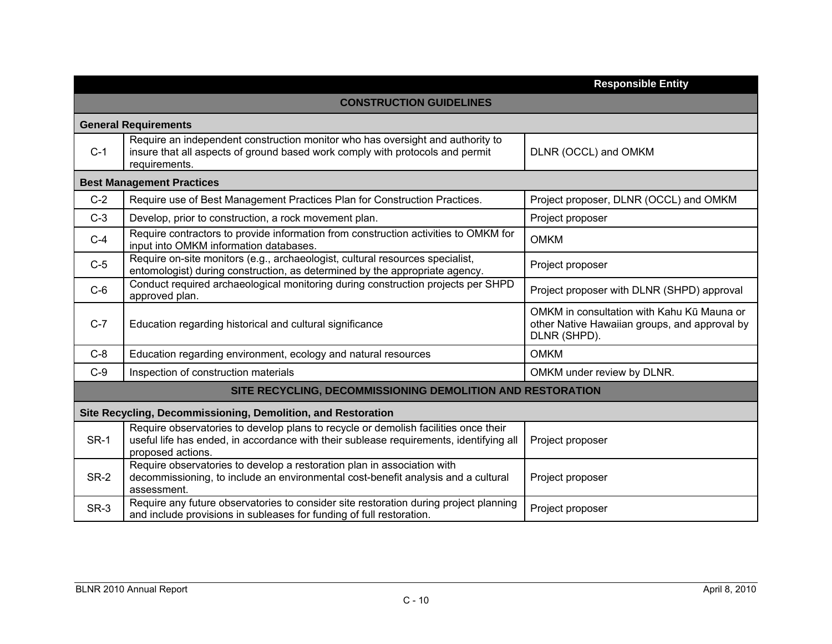|                                                              |                                                                                                                                                                                                    | <b>Responsible Entity</b>                                                                                   |  |  |  |
|--------------------------------------------------------------|----------------------------------------------------------------------------------------------------------------------------------------------------------------------------------------------------|-------------------------------------------------------------------------------------------------------------|--|--|--|
| <b>CONSTRUCTION GUIDELINES</b>                               |                                                                                                                                                                                                    |                                                                                                             |  |  |  |
| <b>General Requirements</b>                                  |                                                                                                                                                                                                    |                                                                                                             |  |  |  |
| $C-1$                                                        | Require an independent construction monitor who has oversight and authority to<br>insure that all aspects of ground based work comply with protocols and permit<br>requirements.                   | DLNR (OCCL) and OMKM                                                                                        |  |  |  |
|                                                              | <b>Best Management Practices</b>                                                                                                                                                                   |                                                                                                             |  |  |  |
| $C-2$                                                        | Require use of Best Management Practices Plan for Construction Practices.                                                                                                                          | Project proposer, DLNR (OCCL) and OMKM                                                                      |  |  |  |
| $C-3$                                                        | Develop, prior to construction, a rock movement plan.                                                                                                                                              | Project proposer                                                                                            |  |  |  |
| $C-4$                                                        | Require contractors to provide information from construction activities to OMKM for<br>input into OMKM information databases.                                                                      | <b>OMKM</b>                                                                                                 |  |  |  |
| $C-5$                                                        | Require on-site monitors (e.g., archaeologist, cultural resources specialist,<br>entomologist) during construction, as determined by the appropriate agency.                                       | Project proposer                                                                                            |  |  |  |
| $C-6$                                                        | Conduct required archaeological monitoring during construction projects per SHPD<br>approved plan.                                                                                                 | Project proposer with DLNR (SHPD) approval                                                                  |  |  |  |
| $C-7$                                                        | Education regarding historical and cultural significance                                                                                                                                           | OMKM in consultation with Kahu Kū Mauna or<br>other Native Hawaiian groups, and approval by<br>DLNR (SHPD). |  |  |  |
| $C-8$                                                        | Education regarding environment, ecology and natural resources                                                                                                                                     | <b>OMKM</b>                                                                                                 |  |  |  |
| $C-9$                                                        | Inspection of construction materials                                                                                                                                                               | OMKM under review by DLNR.                                                                                  |  |  |  |
| SITE RECYCLING, DECOMMISSIONING DEMOLITION AND RESTORATION   |                                                                                                                                                                                                    |                                                                                                             |  |  |  |
| Site Recycling, Decommissioning, Demolition, and Restoration |                                                                                                                                                                                                    |                                                                                                             |  |  |  |
| <b>SR-1</b>                                                  | Require observatories to develop plans to recycle or demolish facilities once their<br>useful life has ended, in accordance with their sublease requirements, identifying all<br>proposed actions. | Project proposer                                                                                            |  |  |  |
| <b>SR-2</b>                                                  | Require observatories to develop a restoration plan in association with<br>decommissioning, to include an environmental cost-benefit analysis and a cultural<br>assessment.                        | Project proposer                                                                                            |  |  |  |
| SR-3                                                         | Require any future observatories to consider site restoration during project planning<br>and include provisions in subleases for funding of full restoration.                                      | Project proposer                                                                                            |  |  |  |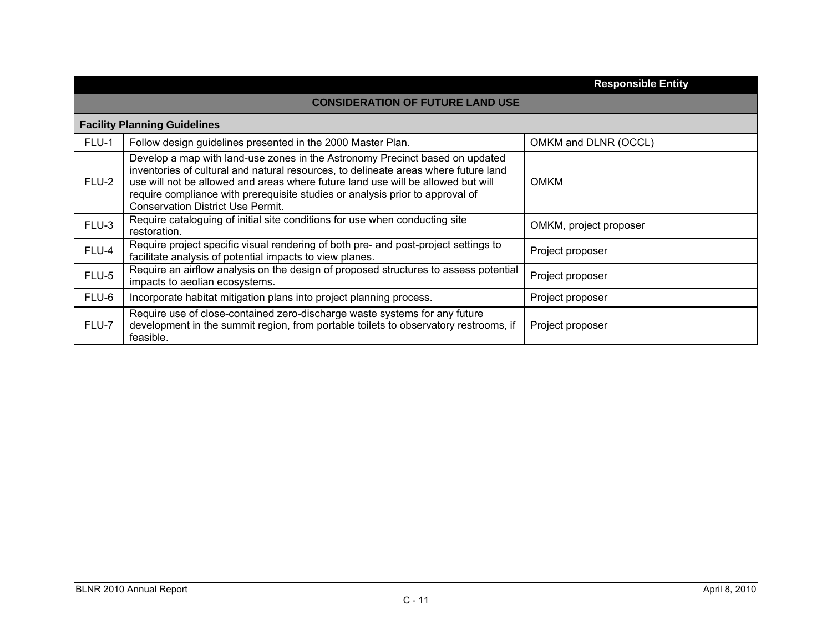|                                         |                                                                                                                                                                                                                                                                                                                                                                                      | <b>Responsible Entity</b> |  |  |
|-----------------------------------------|--------------------------------------------------------------------------------------------------------------------------------------------------------------------------------------------------------------------------------------------------------------------------------------------------------------------------------------------------------------------------------------|---------------------------|--|--|
| <b>CONSIDERATION OF FUTURE LAND USE</b> |                                                                                                                                                                                                                                                                                                                                                                                      |                           |  |  |
| <b>Facility Planning Guidelines</b>     |                                                                                                                                                                                                                                                                                                                                                                                      |                           |  |  |
| FLU-1                                   | Follow design guidelines presented in the 2000 Master Plan.                                                                                                                                                                                                                                                                                                                          | OMKM and DLNR (OCCL)      |  |  |
| FLU-2                                   | Develop a map with land-use zones in the Astronomy Precinct based on updated<br>inventories of cultural and natural resources, to delineate areas where future land<br>use will not be allowed and areas where future land use will be allowed but will<br>require compliance with prerequisite studies or analysis prior to approval of<br><b>Conservation District Use Permit.</b> | <b>OMKM</b>               |  |  |
| FLU-3                                   | Require cataloguing of initial site conditions for use when conducting site<br>restoration.                                                                                                                                                                                                                                                                                          | OMKM, project proposer    |  |  |
| FLU-4                                   | Require project specific visual rendering of both pre- and post-project settings to<br>facilitate analysis of potential impacts to view planes.                                                                                                                                                                                                                                      | Project proposer          |  |  |
| FLU-5                                   | Require an airflow analysis on the design of proposed structures to assess potential<br>impacts to aeolian ecosystems.                                                                                                                                                                                                                                                               | Project proposer          |  |  |
| FLU-6                                   | Incorporate habitat mitigation plans into project planning process.                                                                                                                                                                                                                                                                                                                  | Project proposer          |  |  |
| FLU-7                                   | Require use of close-contained zero-discharge waste systems for any future<br>development in the summit region, from portable toilets to observatory restrooms, if<br>feasible.                                                                                                                                                                                                      | Project proposer          |  |  |